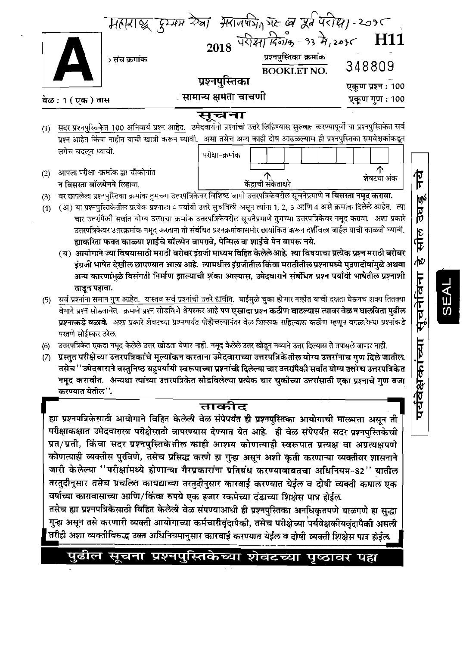|                                 | वेळ : 1 ( एक ) तास                                                                                                           | प्रश्नपुस्तिका<br>्सामान्य क्षमता चाचणी                                                                                                                                                                                                                                                                                                                                                                                                                                                                                                                                                                                                                                                                                                                                                                                                                                                                                                                                                                                                                                                                                                                                                                                                                                                                                                                                                                                                                                                                                                                                                                                                                  | BOOKLETNO. 348809<br>एकूण प्रश्न : 100<br>एकूण गुण : 100                |
|---------------------------------|------------------------------------------------------------------------------------------------------------------------------|----------------------------------------------------------------------------------------------------------------------------------------------------------------------------------------------------------------------------------------------------------------------------------------------------------------------------------------------------------------------------------------------------------------------------------------------------------------------------------------------------------------------------------------------------------------------------------------------------------------------------------------------------------------------------------------------------------------------------------------------------------------------------------------------------------------------------------------------------------------------------------------------------------------------------------------------------------------------------------------------------------------------------------------------------------------------------------------------------------------------------------------------------------------------------------------------------------------------------------------------------------------------------------------------------------------------------------------------------------------------------------------------------------------------------------------------------------------------------------------------------------------------------------------------------------------------------------------------------------------------------------------------------------|-------------------------------------------------------------------------|
| (1)<br>(2)<br>(3)<br>(4)<br>(5) | लगेच बदलून घ्यावी.<br>आपला परीक्षा~क्रमांक ह्या चौकोनांत<br>न विसरता बॉलपेनने लिहावा.<br>ताडून पहावा.<br>परतणे सोईस्कर ठरेल. | सूचना<br>सदर प्रश्नपुस्ति <u>केत 100 अनिवार्य प्रश्न आहेत.</u> उमेदवारांनी प्रश्नांची उत्तरे लिहिण्यास सुरुवात करण्यापूर्वी या प्रश्नपुस्तिकेत सर्व<br>प्रश्न आहेत किंवा नाहीत याची खात्री करून घ्यावी.  असा तसेच अन्य काही दोष आढळल्यास ही प्रश्नपुस्तिका समवेक्षकांकडून<br>परीक्षा-क्रमांक<br>वर छापलेला प्रश्नपुस्तिका क्रमांक तुमच्या उत्तरपत्रिकेवर विशिष्ट जागी उत्तरपत्रिकेवरील सूचनेप्रमाणे <b>न विसरता नमूद करावा.</b><br>(अ) या प्रश्नपुस्तिकेतील प्रत्येक प्रश्नाला 4 पर्यायी उत्तरे सुचविली असून त्यांना 1, 2, 3 आणि 4 असे क्रमांक दिलेले आहेत.  त्या<br>चार उत्तरांपैकी सर्वात योग्य उत्तराचा क्रमांक उत्तरपत्रिकेवरील सूचनेप्रमाणे तुमच्या उत्तरपत्रिकेवर नमूद करावा.  अशा प्रकारे<br>उत्तरपत्रिकेवर उत्तरक्रमांक नमूद करताना तो संबंधित प्रश्नक्रमांकासमोर छायांकित करून दर्शविला जाईल याची काळजी घ्यावी,<br>ह्याकरिता फक्त काळ्या शाईचे बॉल्पेन वापरावे, पेन्सिल वा शाईचे पेन वापरू नये.<br>(ब) आयोगाने ज्या विषयासाठी मराठी बरोबर इंग्रजी माध्यम विहित केलेलेआहे. त्या विषयाचा प्रत्येक प्रश्न मराठी बरोबर<br>इंग्रजी भाषेत देखील छापण्यात आल्प्र आहे. त्यामधील इंग्रजीतील किंवा मराठीतील प्रश्नामध्ये मुद्रणदोषांमुळे अथवा<br>अन्य कारणांमुळे विसंगती निर्माण झाल्याची शंका आल्यास, उमेदवाराने संबंधित प्रश्न पर्यायी भाषेतील प्रश्नाशी<br>सर्व प्रश्नांना समान गुण आहेत. यास्तव सर्व प्रश्नांची उत्तरे द्यावीत. घाईमुळे चुका होणार नाहीत याची दक्षता घेऊनच शक्य तितक्या<br>वेगाने प्रश्न सोडवावेत.  क्रमाने प्रश्न सोडविणे श्रेयस्कर आहे पण <b>एखादा प्रश्न कठीण वाटल्यास त्यावर वेळ न घालविता पुढील</b><br>प्रश्नाकडे वळावे. अशा प्रकारे शेवटच्या प्रश्नापर्यंत पोहोचल्यानंतर वेळ शिल्लक राहिल्यास कठीण म्हणून वगळलेल्या प्रश्नांकडे | ↑<br><u>प</u><br>न<br>शेवटचा अंक<br>उघडू<br>सील<br>√¢<br>सूचनेविना<br>F |
| (6)<br>(7)                      | करण्यात येतील''.                                                                                                             | उत्तरपत्रिकेत एकदा नमूद केलेले उत्तर खोडता येणार नाही. नमूद केलेले उत्तर खोडून नव्याने उत्तर दिल्यास ते तपासले जाणार नाही.<br>प्रस्तुत परीक्षेच्या उत्तरपत्रिकांचे मूल्यांकन करताना उमेदवाराच्या उत्तरपत्रिकेतील योग्य उत्तरांनाच गुण दिले जातील.<br>तसेच ''उमेदवाराने वस्तुनिष्ठ बहुपर्यायी स्वरूपाच्या प्रश्नांची दिलेल्या चार उत्तरांपैकी सर्वांत योग्य उत्तरेच उत्तरपत्रिकेत<br>नमूद करावीत.  अन्यथा त्यांच्या उत्तरपत्रिकेत सोडविलेल्या प्रत्येक चार चुकीच्या उत्तरांसाठी एका प्रश्नाचे गुण वजा<br>ताकीद<br>ह्या प्रश्नपत्रिकेसाठी आयोगाने विहित केलेली वेळ संपेपर्यंत ही प्रश्नपुस्तिका आयोगाची माल्मत्ता असून ती<br>परीक्षाकक्षात उमेदवाराला परीक्षेसाठी वापरण्यास देण्यात येत आहे. ही वेळ संपेपर्यंत सदर प्रश्नपुस्तिकेची<br>प्रत/प्रती, किंवा सदर प्रश्नपुस्तिकेतील काही आशय कोणत्याही स्वरूपात प्रत्यक्ष वा अप्रत्यक्षपणे<br>कोणत्याही व्यक्तीस पुरविणे, तसेच प्रसिद्ध करणे हा गुऱ्हा असून अशी कृती करणाऱ्या व्यक्तीवर शासनाने<br>जारी केलेल्या ''परीक्षांमध्ये होणाऱ्या गैरप्रकारांना प्रतिबंध करण्याबाबतचा अधिनियम-82'' यातील<br>तरतुदीनुसार तसेच प्रचल्प्ति कायद्याच्या तरतुदीनुसार कारवाई करण्यात येईल व दोषी व्यक्ती कमाल एक<br>वर्षाच्या कारावासाच्या आणि/किंवा रुपये एक हजार रकमेच्या दंडाच्या शिक्षेस पात्र होईल<br>तसेच ह्या प्रश्नपत्रिकेसाठी विहित केलेली वेळ संपण्याआधी ही प्रश्नपुस्तिका अनधिकृतपणे बाळगणे हा सुद्धा<br>गुऱ्हा असून तसे करणारी व्यक्ती आयोगाच्या कर्मचारीवृंदापैकी, तसेच परीक्षेच्या पर्यवेक्षकीयवृंदापैकी असली<br>तरीही अशा व्यक्तीविरुद्ध उक्त अधिनियमानुसार कारवाई करण्यात येईल व दोषी व्यक्ती शिक्षेस पात्र होईल                                                                                              | पर्यवेक्षकांच्                                                          |

 $\ddot{\phantom{1}}$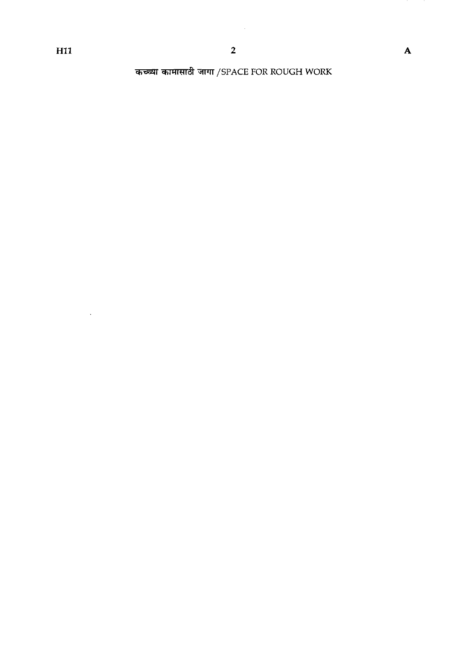$\sim 10^{-10}$ 

ر<br>2<br>कच्च्या कामासाठी जागा /SPACE FOR ROUGH WORK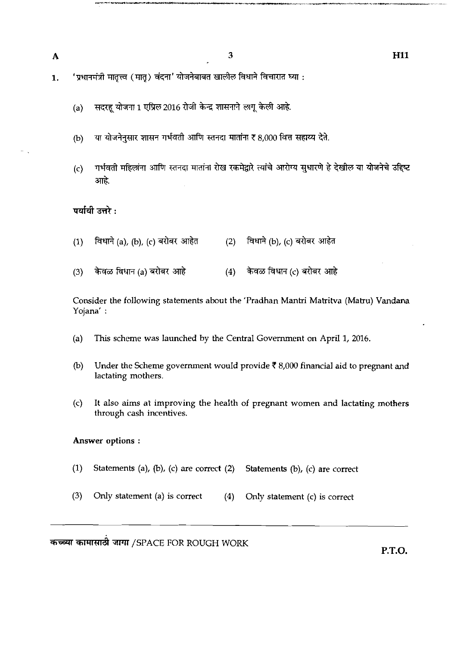A

3

'प्रधानमंत्री मातृत्त्व (मातृ) वंदना' योजनेबाबत खालील विधाने विचारात घ्या : 1.

- (a) सदरहू योजना 1 एप्रिल 2016 रोजी केन्द्र शासनाने लागू केली आहे.
- या योजनेनुसार शासन गर्भवती आणि स्तनदा मातांना रू 8,000 वित्त सहाय्य देते.  $(b)$
- गर्भवती महिलांना आणि स्तनदा मातांना रोख रकमेद्वारे त्यांचे आरोग्य सुधारणे हे देखील या योजनेचे उद्दिष्ट  $(c)$ आहे.

- **पर्यायी उत्तरे :**<br>(1) विधाने (a)*,* (b)*,* (c) बरोबर आहेत (2) विधाने (b)*,* (c) बरोबर आहेत
- (1) विधाने (a), (b), (c) बरोबर आहेत (2) विधाने (b), (c) बरोबर आहेत<br>(3) केवळ विधान (a) बरोबर आहे (4) केवळ विधान (c) बरोबर आहे

Consider the following statements about the 'Pradhan Mantri Matritva (Matru) Vandana Yojana' :

- (a) This scheme was launched by the Central Government on April 1, 2016.
- @) Under the Scheme government would provide **7** 8,000 financial aid to pregnant and lactating mothers.
- (c) It also aims at improving the health of pregnant women and lactating mothers through cash incentives.

## Answer options :

- (1) Statements (a), (b), (c) are correct (2) Statements (b), (c) are correct
- **(3)** Only statement (a) is correct (4) Only statement (c) is correct

कच्च्या कामासाठी जागा /SPACE FOR ROUGH WORK

**P.T.O.** 

**H11**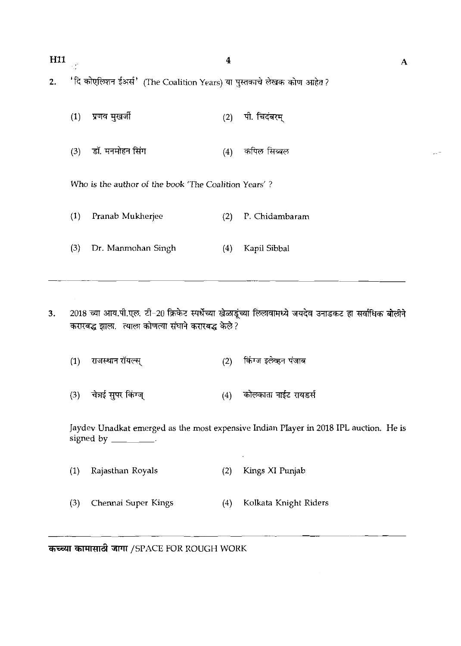| H <sub>11</sub><br>2. | $\sim 10^6$ | 'दि कोएलिशन ईअर्स' (The Coalition Years) या पुस्तकाचे लेखक कोण आहेत? | $\boldsymbol{4}$ |                | A |
|-----------------------|-------------|----------------------------------------------------------------------|------------------|----------------|---|
|                       | (1)         | प्रणव मुखर्जी                                                        | (2)              | पी. चिदंबरम्   |   |
|                       | (3)         | डॉ. मनमोहन सिंग                                                      | (4)              | कपिल सिब्बल    |   |
|                       |             | Who is the author of the book 'The Coalition Years'?                 |                  |                |   |
|                       | (1)         | Pranab Mukherjee                                                     | (2)              | P. Chidambaram |   |
|                       | (3)         | Dr. Manmohan Singh                                                   | (4)              | Kapil Sibbal   |   |
|                       |             |                                                                      |                  |                |   |

- 2018 च्या आय.पी.एल. टी-20 क्रिकेट स्पर्धेच्या खेळाडूंच्या लिलावामध्ये जयदेव उनाडकट हा सर्वाधिक बोलीने  $3.$ करारबद्ध झाला. त्याला कोणत्या संघाने करारबद्ध केले?
	- किंग्ज इलेव्हन पंजाब राजस्थान रॉयल्स्  $(1)$  $(2)$
	- चेत्रई सुपर किंग्ज् कोलकाता नाईट रायडर्स  $(3)$  $(4)$

Jaydev Unadkat emerged as the most expensive Indian Player in 2018 IPL auction. He is signed by \_\_\_\_\_\_\_\_.

 $\bar{z}$ 

| (1) | Rajasthan Royals        |     | (2) Kings XI Punjab   |
|-----|-------------------------|-----|-----------------------|
|     | (3) Chennai Super Kings | (4) | Kolkata Knight Riders |

- - - -- -- कच्च्या कामासाठी जागा /SPACE FOR ROUGH WORK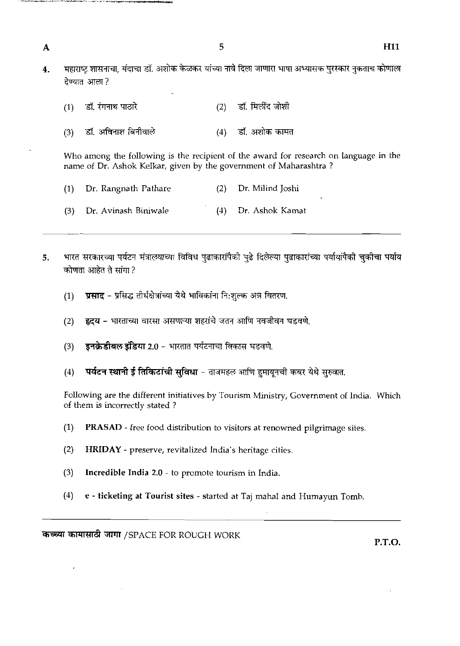महाराष्ट्र शासनाचा, यंदाचा डॉ. अशोक केळकर यांच्या नावे दिला जाणारा भाषा अभ्यासक पुरस्कार नुकताच कोणाला  $\overline{4}$ . देण्यात आला?

5

| $(1)$ डॉ. रंगनाथ पाठारे | (2) डॉ. मिलींद जोशी |
|-------------------------|---------------------|
| (3) हॉ. अविनाश बिनीवाले | (4) डॉ. अशोक कामत   |

 $\overline{\mathbf{A}}$ 

Who among the following is the recipient of the award for research on language in the name of Dr. Ashok Kelkar, given by the government of Maharashtra ?

- (1) Dr. Rangnath Pathare **(2)** Dr. Milind Joshi
- **(3)** Dr. Avinash Biniwale (-1) Dr. Ashok Kamat
- भारत सरकारच्या पर्यटन मंत्रालयाच्या विविध पुढाकारांपैकी पुढे दिलेल्या पुढाकारांच्या पर्यायांपैकी चुकीचा पर्याय  $5.$ कोणता आहेत ते सांगा?
	- प्रसाद प्रसिद्ध तीर्थक्षेत्रांच्या येथे भाविकांना नि:शुल्क अत्र वितरण.  $(1)$
	- हृदय भारताच्या वारसा असणाऱ्या शहरांचे जतन आणि नवजीवन घडवणे.  $(2)$
	- इनक्रेडीबल इंडिया 2.0 भारतात पर्यटनाचा विकास घडवणे.  $(3)$
	- पर्यटन स्थानी ई तिकिटांची सुविधा ताजमहल आणि हुमायूनची कबर येथे सुरुवात.  $(4)$

Following are the different initiatives by Tourism Ministry, Government of India. Which of them is incorrectly stated ?

- **(1)** PRASAD free food distribution to visitors at renowned pilgrimage sites.
- (2) HRIDAY preserve, revitalized India's heritage cities.
- **(3)** Incredible India **2.0**  to promote tourism in India.
- **(4)** e ticketing at Tourist sites started at Taj mahal and Humayun Tomb.

**कच्च्या कामासाठी जागा** /SPACE FOR ROUGH WORK

P.T.O.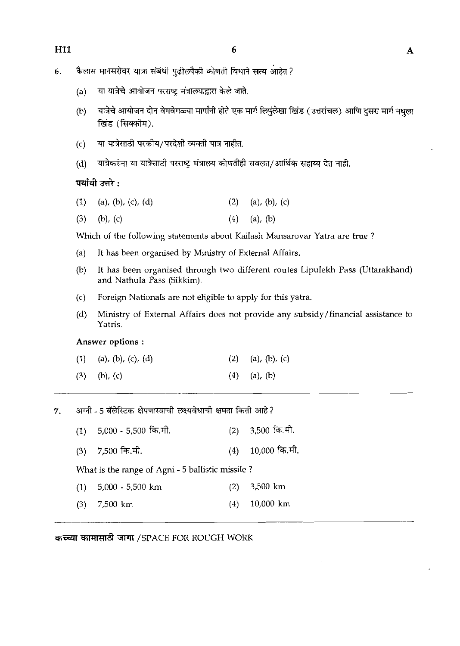- कैलास मानसरोवर यात्रा संबंधी पुढीलपैकी कोणती विधाने **सत्य** आहेत ? 6.
	- या यात्रेचे आयोजन परराष्ट्र मंत्रालयाद्वारा केले जाते.  $(a)$
	- $(b)$ यात्रेचे आयोजन दोन वेगवेगळ्या मार्गांनी होते एक मार्ग लिपलेखा खिंड (उत्तरांचल) आणि दसरा मार्ग नथला खिंड (सिक्कीम).
	- या यात्रेसाठी परकीय/परदेशी व्यक्ती पात्र नाहीत.  $(c)$
	- (d) यात्रैकरुंना या यात्रेसाठी परराष्ट्र मंत्रालय कोणतीही सवलत/आर्थिक सहाय्य देत नाही.

## पर्यायी उत्तरे :

| $(1)$ (a), (b), (c), (d) | $(2)$ (a), (b), (c) |
|--------------------------|---------------------|
|                          |                     |

(3) (b), (c) (4) (a), (b)

Which of the following statements about Kailash Mansarovar Yatra are true ?

- (a) It has been organised by Ministry of External Affairs.
- @) It has been organised through two different routes Lipulekh Pass (Uttarakhand) and Nathula Pass (Sikkim).
- (c) Foreign Nationals are not eligible to apply for this yatra.
- (d) Ministry of External Affairs does not provide any subsidy/financial assistance to Yatris.

## Answer options :

| $(1)$ (a), (b), (c), (d) | (2) (a), (b), (c) |
|--------------------------|-------------------|
| $(3)$ (b), (c)           | $(4)$ (a), (b)    |

7. अग्नी - 5 बॅलेस्टिक क्षेपणास्त्राची लक्ष्यवेधाची क्षमता किती आहे?

 $(1)$  5,000 - 5,500 कि.मी.  $(2)$  3,500 कि.मी.

 $(3)$  7,500 कि.मी.  $(4)$  10,000 कि.मी.

What is the range of Agni - 5 ballistic missile ?

- (1) 5,000 5,500 km (2) 3,500 km
- **(3)** 7,500 km (4) 10,000 km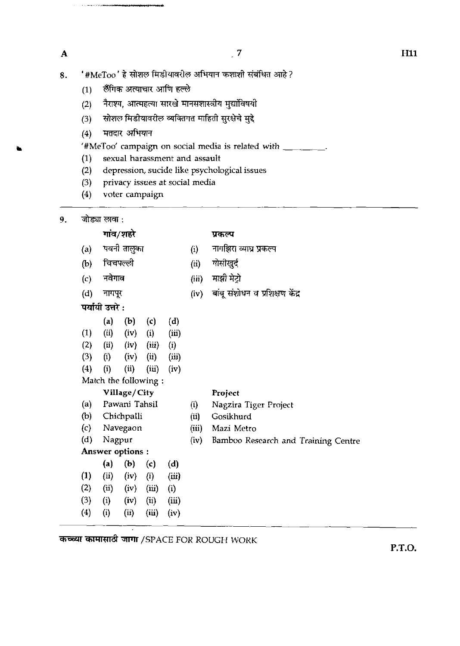$\overline{\mathbf{A}}$ 

**The Committee State** 

- $(1)$  लैंगिक अत्याचार आणि हल्ले
- (2) नैराश्य, आत्महत्या सारखे मानसशास्त्रीय मुद्यांविषयी
- (3) सोशल मिडीयावरील व्यक्तिगत माहिती सुरक्षेचे मुद्दे
- (4) मतदार अभियान

'#MeToo' campaign on social media is related with  $\frac{1}{1-\frac{1}{1-\frac{1}{1-\frac{1}{1-\frac{1}{1-\frac{1}{1-\frac{1}{1-\frac{1}{1-\frac{1}{1-\frac{1}{1-\frac{1}{1-\frac{1}{1-\frac{1}{1-\frac{1}{1-\frac{1}{1-\frac{1}{1-\frac{1}{1-\frac{1}{1-\frac{1}{1-\frac{1}{1-\frac{1}{1-\frac{1}{1-\frac{1}{1-\frac{1}{1-\frac{1}{1-\frac{1}{1-\frac{1}{1-\frac{1}{1-\frac$ 

- (1) sexual harassment and assault
- (2) depression, sucide like psychological issues  $(3)$  privacy issues at social media
- privacy issues at social media (3) privacy issues at social media<br>
(4) voter campaign<br>
जोड्या लावा :<br> **गांव/शहरे प्रकल्प**<br>(a) पवनी तालुका (i) नागझिरा व्या<br>(b) चिचपल्ली (ii) गोसीखुर्द<br>(c) नवेगाव (iii) माझी मेट्रो
- (4) voter campaign
- 9.

- (a) **Qd** ~FJ (i) **T\* ijsm** rn गाव/शहरे - प्रकल्प<br>(a) पवनी-तालुका - (i) नागझिरा व्याप्त<br>(b) चिचपल्ली - - (ii) गोसीखुर्द<br>(c) नवेगाव - - - (iii) माझी-मेट्रो<br>(d) नागपर - - - - (iv) बांब-संशोधन
- 
- 
- 
- (d) T (iv) **a** m~
- (d) नागपूर<br>**पर्या**यी उत्तरे :
	-
- (a) (b) (c) (d)<br>(ii) (iv) (i) (iii)  $(1)$   $(ii)$   $(iv)$
- (2) (ii) (iv) (iii) (i)
- (3) (i) (iv) (ii) **(iii)**
- $(4)$  (i) (ii) (iii) (iv)
- Match the following :

# **Village/ City Project**

- (a) Pawani Tahsil (i) Nagzira Tiger Project
- (b) Chichpalli (ii) Gosikhurd
- (c) Navegaon (iii) Mazi Metro
- (d) Nagpur (iv) Bamboo Research and Training Centre
- Answer options :
- (a) (b) (c) (d)<br>(ii) (iv) (i) (iii)
- $(1)$   $(ii)$   $(iv)$
- $(2)$   $(ii)$   $(iv)$   $(iii)$   $(i)$
- $(3)$   $(i)$   $(iv)$   $(ii)$   $(iii)$
- (4) (i) (i) **(iii)** (iv)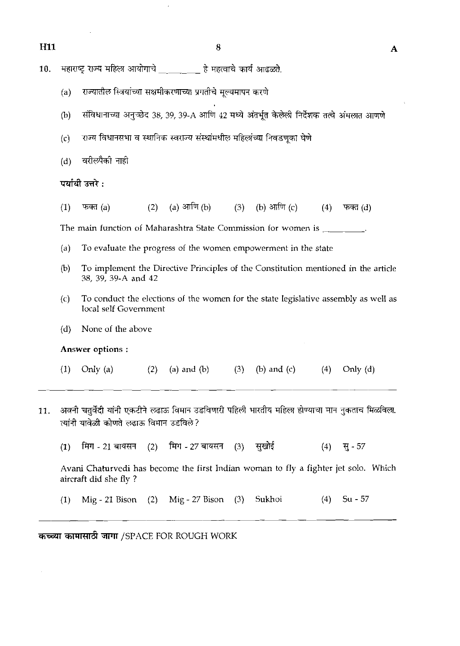महाराष्ट्र राज्य महिला आयोगाचे हे महत्वाचे कार्य आढळते. 10.

- 
- (a) राज्यातील स्त्रियांच्या सक्षमीकरणाच्या प्रगतीचे मूल्यमापन करणे<br>(b) संविधानाच्या अनुच्छेद 38, 39, 39-A आणि 42 मध्ये अंतर्भूत केलेली निर्देशक तत्वे अंमलात आणणे<br>(c) राज्य विधानसभा व स्थानिक स्वराज्य संस्थांमधील महिलांच्य
- $(c)$  राज्य विधानसभा व स्थानिक स्वराज्य संस्थांमधील महिलांच्या निवडणूका घेणे
- 

(a) आणि  $(b)$ (b) आणि  $(c)$  $(1)$ फक्त $(a)$  $(2)$  $(3)$  $(4)$ फक्त $(d)$ 

The main function of Maharashtra State Commission for women is \_\_\_\_\_\_\_\_.

- (a) To evaluate the progress of the women empowerment in the state
- (b) To implement the Directive Principles of the Constitution mentioned in the article 38, 39, 39-A and 42
- $(c)$  To conduct the elections of the women for the state legislative assembly as well as local self Government
- (d) None of the above

**Answer** options :

- (1) Only (a) *(2)* (a) and (b) *(3)* (b) and (c) *(4)* Only (d)
- अवनी चतुर्वेदी यांनी एकटीने लढाऊ विमान उडविणारी पहिली भारतीय महिला होण्याचा मान नुकताच मिळविला. 11. त्यांनी यावेळी कोणते लढाऊ विमान उडविले?
	- सखोई मिग - 21 बायसन मिग - 27 बायसन  $(1)$  $(2)$  $(3)$  $(4)$ सु - 57

Avani Chaturvedi has become the first Indian woman to fly a fighter jet solo. Which aircraft did she fly ?

(1) Mig - 21 Bison (2) Mig - 27 Bison (3) Sukhoi (4) Su - 57

कच्च्या कामासाठी जागा /SPACE FOR ROUGH WORK

-- -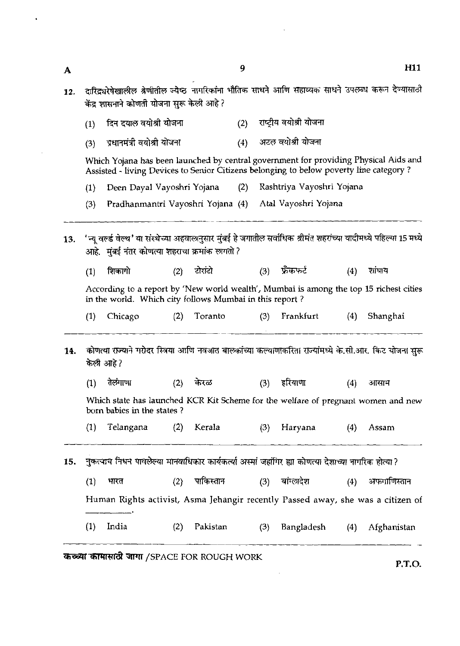- दारिद्व्यरेषेखालील श्रेणीतील ज्येष्ठ नागरिकांना भौतिक साधने आणि सहाय्यक साधने उपलब्ध करून देण्यासाठी  $12.$ केंद्र शासनाने कोणती योजना सुरू केली आहे ?
	- राष्टीय वयोश्री योजना दिन दयाल वयोश्री योजना  $(1)$  $(2)$
	- अटल वयोश्री योजना प्रधानमंत्री वयोश्री योजना  $(4)$  $(3)$

Which Yojana has been launched by central government for providing Physical Aids and Assisted - living Devices to Senior Citizens belonging to below poverty line category ?

- (1) Deen Dayal Vayoshri Yojana (2) Rashtriya Vayoshri Yojana
- (3) Pradhanmantri Vayoshri Yojana (4) Atal Vayoshri Yojana
- 'न्य वर्ल्ड वेल्थ' या संस्थेच्या अहवालानसार मंबई हे जगातील सर्वाधिक श्रीमंत शहरांच्या यादीमध्ये पहिल्या 15 मध्ये  $13.$ आहे. मुंबई नंतर कोणत्या शहराचा क्रमांक लगतो ?
	- $(1)$ रोरांटो फ्रॅंकफर्ट शिकागो  $(2)$  $(3)$  $(4)$ शांघाय

According to a report by 'New world wealth', Mumbai is among the Lop 15 richest cities in the world. Which city follows Mumbai in this report ?

- (1) Chicago (2) Toranto (3) Frankfurt (4) Shanghai
- कोणत्या राज्याने गरोदर स्त्रिया आणि नवजात बालकांच्या कल्याणाकरिता राज्यांमध्ये के.सी.आर. किट योजना सरू 14. केली आहे?
	- तेलंगाणा केरळ हरियाणा  $(1)$  $(2)$  $(3)$

Which state has launched KCR Kit Scheme for the welfare of pregnant women and new born babies in the states ?

(1) Telangana (2) Kerala (3) Haryana (4) Assam

**15. ~~~wW~W~~W~&~~\$~WT&TFT~~?** 

(1) Human Rights activist, Asma Jehangir recently Passed away, she was a citizen of भारत (2) CR Kit Scheme for<br>Kerala (<br>कार कार्यकर्त्या अस्मां<br>र<br>पाकिस्तान ()<br>ma Jehangir rece r ale wealth of pregram<br>(3) - Haryana<br>जहाँगिर ह्या कोणत्या देशाच्य<br>(3) - बांग्लादेश<br>ently Passed away, s **(4)** -

(1) India (2) Pakistan (3) Bangladesh (4) Afghanistan - -- - - -

कच्च्या कामासाठी जागा /SPACE FOR ROUGH WORK

 $\mathbf{A}$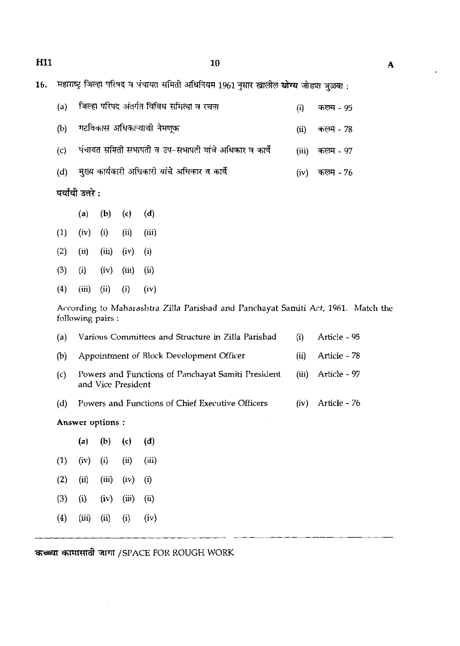10

| (a) | जिल्हा परिषद अंतर्गत विविध समित्या व रचना             | (i)   | कलम - 95  |
|-----|-------------------------------------------------------|-------|-----------|
| (b) | गटविकास अधिकाऱ्याची नेमणूक                            | (ii)  | कलम - 78  |
| (c) | पंचायत समिती सभापती व उप-सभापती यांचे अधिकार व कार्ये | (iii) | कलम - 97  |
| (d) | मुख्य कार्यकारी अधिकारी यांचे अधिकार व कार्ये         | (iv)  | कल्म - 76 |
|     | पर्यायी उत्तरे :                                      |       |           |

|                    | (a) (b) (c) (d) |  |
|--------------------|-----------------|--|
| $(1)$ $(iv)$ $(i)$ | $(ii)$ $(iii)$  |  |

- (2) (ii) (iii) (iv) (i)
- **(3)** (i) (iv) (iii) (ii)
- (4) (iii) (ii) (iv)

According to Maharashtra Zilla Parishad and Panchayat Samiti Act, 1961. Match the following pairs :

| Answer options: |                                                                          |              |              |  |  |
|-----------------|--------------------------------------------------------------------------|--------------|--------------|--|--|
| (d)             | Powers and Functions of Chief Executive Officers                         | (iv)         | Article - 76 |  |  |
| (c)             | Powers and Functions of Panchayat Samiti President<br>and Vice President | (iii)        | Article - 97 |  |  |
| (b)             | Appointment of Block Development Officer                                 | $\bar{u}$    | Article - 78 |  |  |
| (a)             | Various Committees and Structure in Zilla Parishad                       | $\mathbf{u}$ | Article - 95 |  |  |

| (a)      | (b)   | (c)        | (d)        |  |
|----------|-------|------------|------------|--|
| (iv)     | (i)   | $\rm (ii)$ | (iii)      |  |
| (ii)     | (iii) | (iv)       | $\rm(i)$   |  |
| $\rm(i)$ | (iv)  | (iii)      | $\rm (ii)$ |  |
| (iii)    | (ii)  | (i)        | (iv)       |  |
|          |       |            |            |  |

 $\mathbb{Z}$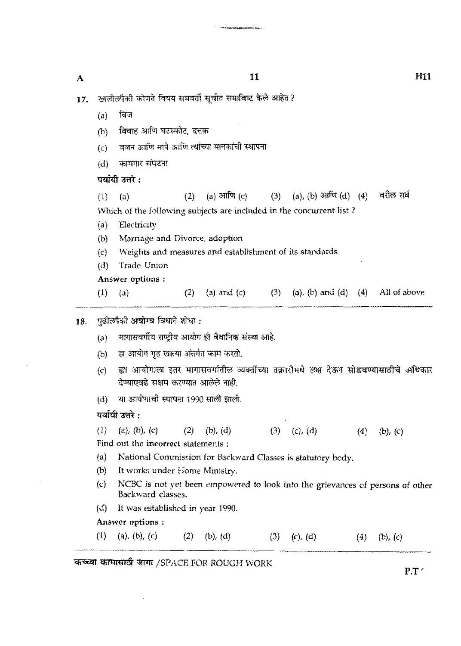| A   | 11                                                             |                                                                      |     |                                                             |     |                          | H11 |                                                                                        |  |
|-----|----------------------------------------------------------------|----------------------------------------------------------------------|-----|-------------------------------------------------------------|-----|--------------------------|-----|----------------------------------------------------------------------------------------|--|
| 17. |                                                                | खालीलपैकी कोणते विषय समवर्ती सूचीत समाविष्ट केले आहेत ?              |     |                                                             |     |                          |     |                                                                                        |  |
|     | (a)                                                            | বিল                                                                  |     |                                                             |     |                          |     |                                                                                        |  |
|     | (b)                                                            | विवाह आणि घटस्फोट, दत्तक                                             |     |                                                             |     |                          |     |                                                                                        |  |
|     | $\left( c\right)$                                              |                                                                      |     | वजन आणि मापे आणि त्यांच्या मानकांची स्थापना                 |     |                          |     |                                                                                        |  |
|     | (d)                                                            | कामगार संघटना                                                        |     |                                                             |     |                          |     |                                                                                        |  |
|     |                                                                | पर्यायी उत्तरे :                                                     |     |                                                             |     |                          |     |                                                                                        |  |
|     | (1)                                                            | (a)                                                                  | (2) | $(a)$ आणि $(c)$                                             |     | (3) (a), (b) आणि (d) (4) |     | वरील सर्व                                                                              |  |
|     |                                                                | Which of the following subjects are included in the concurrent list? |     |                                                             |     |                          |     |                                                                                        |  |
|     | (a)                                                            | Electricity                                                          |     |                                                             |     |                          |     |                                                                                        |  |
|     | (b)                                                            | Marriage and Divorce, adoption                                       |     |                                                             |     |                          |     |                                                                                        |  |
|     | Weights and measures and establishment of its standards<br>(c) |                                                                      |     |                                                             |     |                          |     |                                                                                        |  |
|     | (d)                                                            | Trade Union                                                          |     |                                                             |     |                          |     |                                                                                        |  |
|     |                                                                | Answer options:                                                      |     |                                                             |     |                          |     |                                                                                        |  |
|     | (1)                                                            | (a)                                                                  |     | (2) (a) and (c) (3) (a), (b) and (d) (4) All of above       |     |                          |     |                                                                                        |  |
| 18. |                                                                | पुढीलपैकी <b>अयोग्य</b> विधाने शोधा :                                |     |                                                             |     |                          |     |                                                                                        |  |
|     | (a)                                                            |                                                                      |     | मागासवर्गीय राष्ट्रीय आयोग ही वैधानिक संस्था आहे.           |     |                          |     |                                                                                        |  |
|     | (b)                                                            | हा आयोग गृह खात्या अंतर्गत काम करतो.                                 |     |                                                             |     |                          |     |                                                                                        |  |
|     | (c)                                                            | देण्याएवढे सक्षम करण्यात आलेले नाही.                                 |     |                                                             |     |                          |     | ह्या आयोगाला इतर मागासवर्गातील व्यक्तींच्या तक्रारीमधे लक्ष देऊन सोडवण्यासाठीचे अधिकार |  |
|     | (d)                                                            | या आयोगाची स्थापना 1990 साली झाली.                                   |     |                                                             |     |                          |     |                                                                                        |  |
|     |                                                                | पर्यायी उत्तरे :                                                     |     |                                                             |     |                          |     |                                                                                        |  |
|     | (1)                                                            | (a), (b), (c)                                                        | (2) | (b), (d)                                                    | (3) | (c), (d)                 | (4) | $(b)$ , $(c)$                                                                          |  |
|     |                                                                | Find out the incorrect statements:                                   |     |                                                             |     |                          |     |                                                                                        |  |
|     | (a)                                                            |                                                                      |     | National Commission for Backward Classes is statutory body. |     |                          |     |                                                                                        |  |
|     | (b)                                                            | It works under Home Ministry.                                        |     |                                                             |     |                          |     |                                                                                        |  |
|     | (c)                                                            | Backward classes.                                                    |     |                                                             |     |                          |     | NCBC is not yet been empowered to look into the grievances of persons of other         |  |
|     | (d)                                                            | It was established in year 1990.                                     |     |                                                             |     |                          |     |                                                                                        |  |
|     |                                                                | Answer options :                                                     |     |                                                             |     |                          |     |                                                                                        |  |
|     | (1)                                                            | (a), (b), (c)                                                        | (2) | $(b)$ , $(d)$                                               | (3) | (c), (d)                 | (4) | (b), $(c)$                                                                             |  |

.<br>Né<mark>sanya</mark>k termintan di Ka

*कच्च्या कामासाठी जागा /SPACE FOR ROUGH WORK* 

 $\epsilon$  .

 $\mathcal{A}$ 

 $P.T'$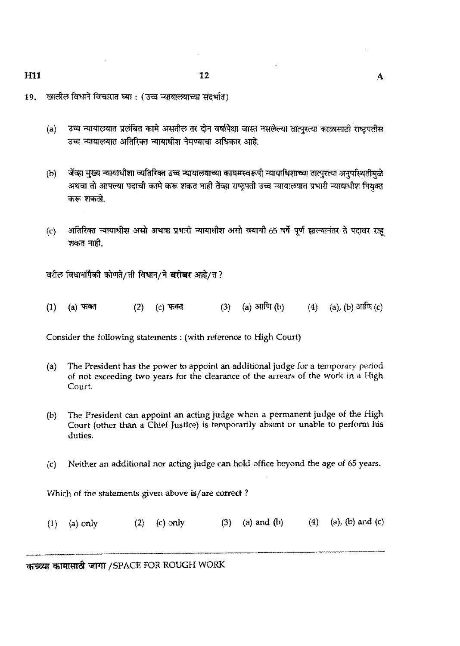- खालील विधाने विचारात घ्या : (उच्च न्यायालयाच्या संदर्भात) 19.
	- (a) उच्च न्यायालयात प्रलंबित कामे असतील तर दोन वर्षापेक्षा जास्त नसलेल्या तात्पुरत्या काळासाठी राष्ट्रपतीस उच्च न्यायालयात अतिरिक्त न्यायाधीश नेमण्याचा अधिकार आहे.
	- जेंव्हा मुख्य न्यायाधीशा व्यतिरिक्त उच्च न्यायालयाच्या कायमस्वरूपी न्यायाधिशाच्या तात्पुरत्या अनुपस्थितीमुळे  $(b)$ अथवा तो आपल्या पदाची कामे करू शकत नाही तेंव्हा राष्ट्रपती उच्च न्यायालयात प्रभारी न्यायाधीश नियुक्त करू शकतो.
	- अतिरिक्त न्यायाधीश असो अथवा प्रभारी न्यायाधीश असो वयाची 65 वर्षे पूर्ण झाल्यानंतर ते पदावर राह  $(c)$ शकत नाही.

वरील विधानांपैकी कोणते/ती विधान/ने **बरोबर** आहे/त?

(a) आणि (b) (4) (a), (b) आणि (c)  $(1)$  $(a)$  फक्त  $(2)$  $(c)$  फक्त  $(3)$ 

Consider the following statements : **(with reference** to **High** Court)

- (a) The **President has the power to appoint an** additional **judge** for **a** temporary period of **not exceeding two years for the clearance** of **the arrears** of the **work** in **a figh**  Court.
- **b** The **President** can **appoint an acting judge when a** permanent **judge of the High Court (other** than **a Chief Justice)** is twnporarily absent or unable **to perform his d-ufies.**
- &> **Neither an additicmal** nor **acting judge can** hold **office** beyond **the** age of 65 **years.**

Which of the **statements** given **above** %/are **correct** ?

(1) (a) only (2) (c) only (3) (a) and (b) (4)<br> $\frac{1}{2}$  (a) only (3) (a) and (b) (4)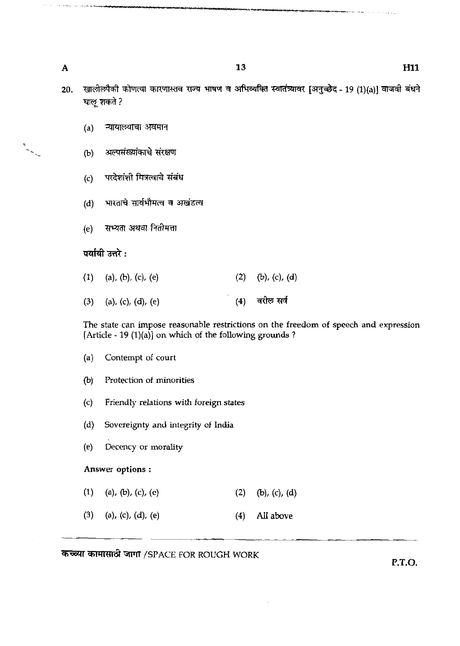- खालीलपैकी कोणत्या कारणास्तव राज्य भाषण व अभिव्यक्ति स्वातंत्र्यावर [अनुच्छेद 19 (1)(a)] वाजवी बंधने 20. घालू शकते ?
	- न्यायालयाचा अवमान  $(a)$
	- अल्पसंख्यांकाचे संरक्षण  $(b)$
	- परदेशांशी मित्रत्वाचे संबंध  $(c)$
	- (d) भारताचे सार्वभौमत्व व अखंडत्व
	- (e) सभ्यता अथवा नितीमत्ता

## पर्यायी उत्तरे :

 $(1)$ (a), (b), (c), (e)  $(b)$ ,  $(c)$ ,  $(d)$  $(2)$ वरील सर्व  $(3)$ (a), (c), (d), (e)  $(4)$ 

The state can impose reasonable restrictions on the freedom of speech and expression [Article - 19  $(1)(a)$ ] on which of the following grounds ?

- (a) Contempt of court
- (b) Protection of minorities
- *(c)* Friendly relations with foreign states
- (d) Sovereignty and integrity of India
- (e) Decency or morality

### Answer options :

- (1) (a), (b), (c), (e) (2) (b), (c), (d)
- (3) (a), (c), (d), (e) (4) **All above**

3iFIRTd 3TT **/SPACE** FOR ROUGH WORK

**P.T.O.** 

 $\overline{\mathbf{A}}$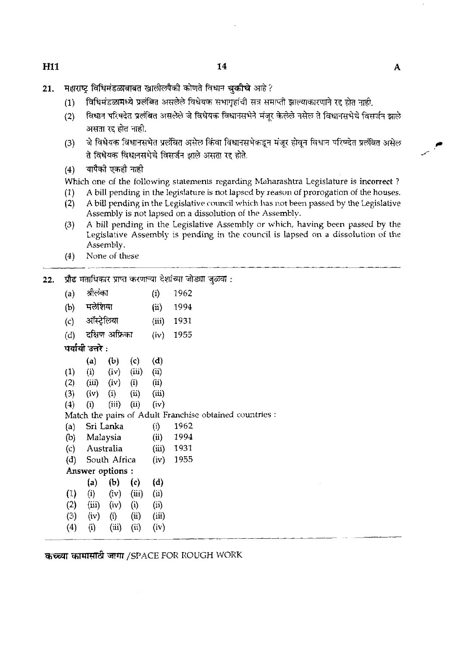- महाराष्ट्र विधिमंडळाबाबत खालीलपैकी कोणते विधान चुकीचे आहे? 21.
	- विधिमंडळामध्ये प्रलंबित असलेले विधेयक सभागृहांची सत्र समाप्ती झाल्याकारणाने रद्द होत नाही.  $(1)$
	- विधान परिषदेत प्रलंबित असलेले जे विधेयक विधानसभेने मंजर केलेले नसेल ते विधानसभेचे विसर्जन झाले  $(2)$ असता रद्द होत नाही.
	- जे विधेयक विधानसभेत प्रलंबित असेल किंवा विधानसभेकडून मंजूर होवून विधान परिषदेत प्रलंबित असेल  $(3)$ ते विधेयक विधानसभेचे विसर्जन झाले असता रद्द होते.<br>(4) यापैको एकही नाही
	-

Which one of the following statements regarding Maharashtra Legislature is incorrect?

- (1) A bill pending in the legislature is not lapsed by reason of prorogation of the houses.<br>(2) A bill pending in the Legislative council which has not been passed by the Legislative
- (2) A bill pending in the Legislafive council which has not been passed by the Legislative Assembly is not lapsed on a dissolution of the Assembly.
- **(3)** A bill pending in the Legislative Assembly or which, having been passed by the Legislative Assembly is pending in the council is lapsed on a dissolution of the Assembly.
- (4) None of these
- **22.** \*srmfmmmFT?,m~~:

|     | (4)                                                      |                            | None of these        |                      |                               |                                                         |  |  |  |
|-----|----------------------------------------------------------|----------------------------|----------------------|----------------------|-------------------------------|---------------------------------------------------------|--|--|--|
| 22. | प्रौढ मताधिकार प्राप्त करणाऱ्या देशांच्या जोड्या जुळवा : |                            |                      |                      |                               |                                                         |  |  |  |
|     | (a)                                                      | श्रीलंका                   |                      |                      | (i)                           | 1962                                                    |  |  |  |
|     |                                                          | (b) मलेशिया                |                      |                      | $\displaystyle \mathrm{(ii)}$ | 1994                                                    |  |  |  |
|     |                                                          | (c) ऑस्ट्रेलिया            |                      |                      | (iii)                         | 1931                                                    |  |  |  |
|     | (d)                                                      |                            | दक्षिण अफ्रिका       |                      | (iv)                          | 1955                                                    |  |  |  |
|     |                                                          | पर्यायी उत्तरे :           |                      |                      |                               |                                                         |  |  |  |
|     |                                                          | (a)                        |                      | (b) (c)              | (d)                           |                                                         |  |  |  |
|     | (1)                                                      |                            |                      | $(i)$ $(iv)$ $(iii)$ | (ii)                          |                                                         |  |  |  |
|     | (2)                                                      |                            | $(iii)$ $(iv)$ $(i)$ |                      | (ii)                          |                                                         |  |  |  |
|     |                                                          | $(3)$ $(iv)$               |                      | $(i)$ $(ii)$         | (iii)                         |                                                         |  |  |  |
|     | (4)                                                      | (i)                        | (iii)                | (i)                  | (iv)                          |                                                         |  |  |  |
|     |                                                          |                            |                      |                      |                               | Match the pairs of Adult Franchise obtained countries : |  |  |  |
|     | (a)                                                      |                            | Sri Lanka            |                      | (i)                           | 1962                                                    |  |  |  |
|     |                                                          | (b) Malaysia               |                      |                      | (ii)                          | 1994                                                    |  |  |  |
|     |                                                          | (c) Australia              |                      |                      |                               | $(iii)$ 1931                                            |  |  |  |
|     |                                                          | (d) South Africa           |                      |                      | (iv)                          | 1955                                                    |  |  |  |
|     |                                                          | Answer options :           |                      |                      |                               |                                                         |  |  |  |
|     |                                                          | (a)                        | (b)                  | (c)                  | (d)                           |                                                         |  |  |  |
|     | (1)                                                      |                            |                      | $(i)$ $(iv)$ $(iii)$ | (ii)                          |                                                         |  |  |  |
|     |                                                          | $(2)$ $(iii)$ $(iv)$ $(i)$ |                      |                      | (ii)                          |                                                         |  |  |  |
|     |                                                          | $(3)$ (iv)                 | (i)                  | (ii)                 | (iii)                         |                                                         |  |  |  |
|     | (4)                                                      | (i)                        |                      | $(iii)$ $(ii)$       | (iv)                          |                                                         |  |  |  |
|     |                                                          |                            |                      |                      |                               |                                                         |  |  |  |
|     |                                                          |                            |                      |                      |                               | कच्च्या कामासाठी जागा /SPACE FOR ROUGH WORK             |  |  |  |
|     |                                                          |                            |                      |                      |                               |                                                         |  |  |  |
|     |                                                          |                            |                      |                      |                               |                                                         |  |  |  |

**H11**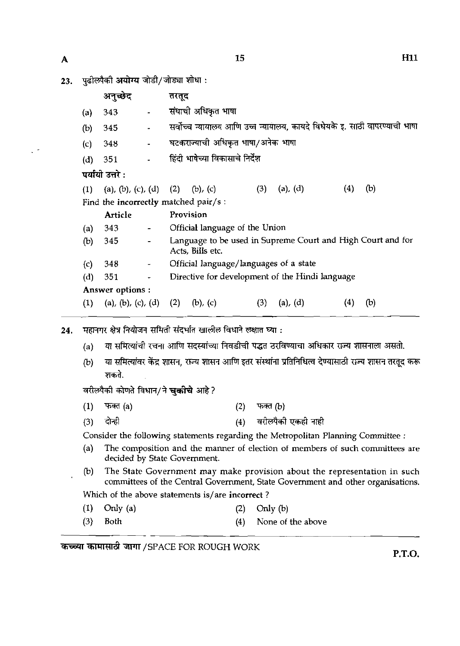$\downarrow$   $\uparrow$ 

| А   |     |                                      |                          |       | 15                                     |     |                                                                            |     | H11 |
|-----|-----|--------------------------------------|--------------------------|-------|----------------------------------------|-----|----------------------------------------------------------------------------|-----|-----|
| 23. |     | पुढील्पैकी अयोग्य जोडी/जोड्या शोधा : |                          |       |                                        |     |                                                                            |     |     |
|     |     | अनुच्छेद                             |                          | तरतूद |                                        |     |                                                                            |     |     |
|     | (a) | 343                                  |                          |       | संघाची अधिकृत भाषा                     |     |                                                                            |     |     |
|     | (b) | 345                                  |                          |       |                                        |     | सर्वोच्च न्यायालय आणि उच्च न्यायालय, कायदे विधेयके इ. साठी वापरण्याची भाषा |     |     |
|     | (c) | 348                                  |                          |       | घटकराज्याची अधिकृत भाषा/अनेक भाषा      |     |                                                                            |     |     |
|     | (d) | 351                                  |                          |       | हिंदी भाषेच्या विकासाचे निर्देश        |     |                                                                            |     |     |
|     |     | पर्यायी उत्तरे :                     |                          |       |                                        |     |                                                                            |     |     |
|     | (1) | (a), (b), (c), (d) (2)               |                          |       | $(b)$ , $(c)$                          | (3) | $(a)$ , $(d)$                                                              | (4) | (b) |
|     |     | Find the incorrectly matched pair/s: |                          |       |                                        |     |                                                                            |     |     |
|     |     | <b>Article</b>                       |                          |       | Provision                              |     |                                                                            |     |     |
|     | (a) | 343                                  |                          |       | Official language of the Union         |     |                                                                            |     |     |
|     | (b) | 345                                  |                          |       | Acts, Bills etc.                       |     | Language to be used in Supreme Court and High Court and for                |     |     |
|     | (c) | 348                                  | $\overline{\phantom{a}}$ |       | Official language/languages of a state |     |                                                                            |     |     |
|     | (d) | 351                                  |                          |       |                                        |     | Directive for development of the Hindi language                            |     |     |
|     |     | Answer options:                      |                          |       |                                        |     |                                                                            |     |     |
|     | (1) | (a), (b), (c), (d) (2) (b), (c)      |                          |       |                                        | (3) | $(a)$ , $(d)$                                                              | (4) | (b) |

- महानगर क्षेत्र नियोजन समिती संदर्भात खालील विधाने लक्षात घ्या : 24.
	- (a) या समित्यांची रचना आणि सदस्यांच्या निवडीची पद्धत ठरविण्याचा अधिकार राज्य शासनाला असतो.
	- या समित्यांवर केंद्र शासन, राज्य शासन आणि इतर संस्थांना प्रतिनिधित्व देण्यासाठी राज्य शासन तरतूद करू  $(b)$ शकते.

वरीलपैकी कोणते विधान/ने **चुकीचे** आहे?

- $(1)$ फक्त (a) फक्त $(b)$  $(2)$
- दोही वरील्पैकी एकही नाही  $(3)$  $(4)$

Consider the following statements regarding the Metropolitan Planning Committee :

- (a) The composition and the manner of election of members of such committees are decided by State Govemment.
- (b) The State Government may make provision about the representation in such committees of the Central Govemment, State Government and other organisations. Which of the above statements is/are incorrect ?
- (1) Only (a)  $(2)$  Only (b)
- **(3)** Both (4) None of the above

**कच्च्या कामासाठी जागा /SPACE FOR ROUGH WORK** 

**P.T.O.**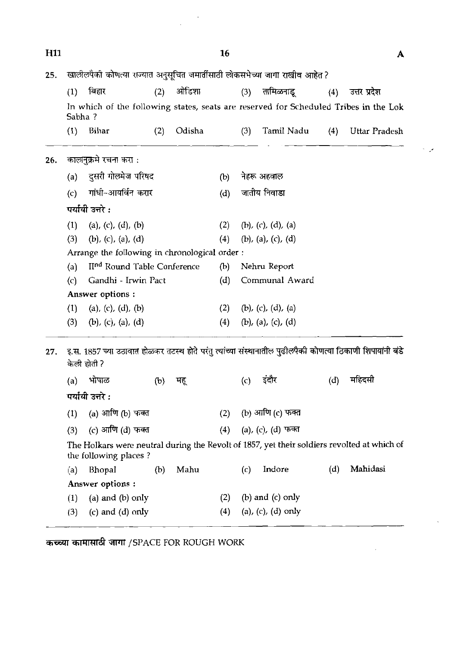| H <sub>11</sub> |                                               |                                                                                                                          |     |        | 16                 |                    |                    |     | A             |  |
|-----------------|-----------------------------------------------|--------------------------------------------------------------------------------------------------------------------------|-----|--------|--------------------|--------------------|--------------------|-----|---------------|--|
| 25.             |                                               | खालीलपैकी कोणत्या राज्यात अनुसूचित जमार्तीसाठी लोकसभेच्या जागा राखीव आहेत ?                                              |     |        |                    |                    |                    |     |               |  |
|                 | (1)                                           | बिहार                                                                                                                    | (2) | ओडिशा  |                    | (3)                | तामिळनाडू          | (4) | उत्तर प्रदेश  |  |
|                 | Sabha?                                        | In which of the following states, seats are reserved for Scheduled Tribes in the Lok                                     |     |        |                    |                    |                    |     |               |  |
|                 | (1)                                           | Bihar                                                                                                                    | (2) | Odisha |                    | (3)                | Tamil Nadu         | (4) | Uttar Pradesh |  |
| 26.             |                                               | कालानुक्रमे रचना करा :                                                                                                   |     |        |                    |                    |                    |     |               |  |
|                 | दुसरी गोल्मेज परिषद<br>(a)                    |                                                                                                                          |     |        | (b)                |                    | नेहरू अहवाल        |     |               |  |
|                 | गांधी-आयर्विन करार<br>(c)                     |                                                                                                                          |     | (d)    |                    | जातीय निवाडा       |                    |     |               |  |
|                 | पर्यायी उत्तरे :                              |                                                                                                                          |     |        |                    |                    |                    |     |               |  |
|                 | (1)<br>(a), (c), (d), (b)                     |                                                                                                                          |     | (2)    | (b), (c), (d), (a) |                    |                    |     |               |  |
|                 | (3)<br>$(b)$ , $(c)$ , $(a)$ , $(d)$          |                                                                                                                          |     | (4)    | (b), (a), (c), (d) |                    |                    |     |               |  |
|                 | Arrange the following in chronological order: |                                                                                                                          |     |        |                    |                    |                    |     |               |  |
|                 | (a)                                           | II <sup>nd</sup> Round Table Conference                                                                                  |     |        | (b)                |                    | Nehru Report       |     |               |  |
|                 | Gandhi - Irwin Pact<br>$\left( c\right)$      |                                                                                                                          |     | (d)    |                    | Communal Award     |                    |     |               |  |
|                 |                                               | Answer options:                                                                                                          |     |        |                    |                    |                    |     |               |  |
|                 | (1)                                           | (a), (c), (d), (b)                                                                                                       |     |        | (2)                | (b), (c), (d), (a) |                    |     |               |  |
|                 | (3)                                           | $(b)$ , (c), (a), (d)                                                                                                    |     |        | (4)                | (b), (a), (c), (d) |                    |     |               |  |
|                 |                                               |                                                                                                                          |     |        |                    |                    |                    |     |               |  |
| 27.             |                                               | इ.स. 1857 च्या उठावात होळकर तटस्थ होते परंतु त्यांच्या संस्थानातील पुढीलपैकी कोणत्या ठिकाणी शिपायांनी बंडे<br>केली होती? |     |        |                    |                    |                    |     |               |  |
|                 | (a)                                           | भोपाळ                                                                                                                    | (b) | मह्    |                    | (c)                | इदौर               | (d) | महिंदसी       |  |
|                 |                                               | पर्यायी उत्तरे :                                                                                                         |     |        |                    |                    |                    |     |               |  |
|                 | (1)                                           | (a) आणि (b) फक्त                                                                                                         |     |        | (2)                |                    | (b) आणि (c) फक्त   |     |               |  |
|                 | (3)                                           | (c) आणि (d) फक्त                                                                                                         |     |        | (4)                |                    | (a), (c), (d) फक्त |     |               |  |
|                 |                                               | The Holkars were neutral during the Revolt of 1857, yet their soldiers revolted at which of<br>the following places?     |     |        |                    |                    |                    |     |               |  |
|                 | (a)                                           | Bhopal                                                                                                                   | (b) | Mahu   |                    | (c)                | Indore             | (d) | Mahidasi      |  |
|                 |                                               | Answer options :                                                                                                         |     |        |                    |                    |                    |     |               |  |
|                 | (1)                                           | (a) and (b) only                                                                                                         |     |        | (2)                |                    | (b) and (c) only   |     |               |  |

لم

 $\mathcal{A}$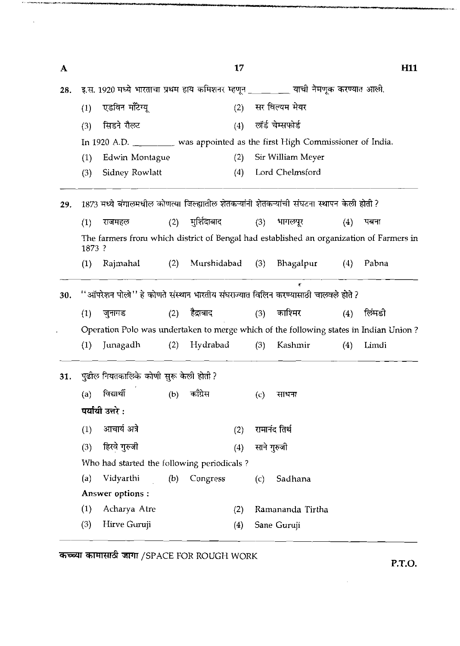| A   |                                                                                    |                                                                                            |     |                 | 17  |                |                   |     | H <sub>11</sub> |  |
|-----|------------------------------------------------------------------------------------|--------------------------------------------------------------------------------------------|-----|-----------------|-----|----------------|-------------------|-----|-----------------|--|
| 28. | इ.स. 1920 मध्ये भारताचा प्रथम हाय कमिशनर म्हणून _________ याची नेमणूक करण्यात आली. |                                                                                            |     |                 |     |                |                   |     |                 |  |
|     | (1)                                                                                | एडविन मॉॅंटेग्यू                                                                           |     |                 | (2) | सर विल्यम मेयर |                   |     |                 |  |
|     | (3)                                                                                | सिडने रौलट                                                                                 |     |                 | (4) |                | लॉर्ड चेम्सफोर्ड  |     |                 |  |
|     |                                                                                    | In 1920 A.D. _________ was appointed as the first High Commissioner of India.              |     |                 |     |                |                   |     |                 |  |
|     | (1)                                                                                | Edwin Montague                                                                             |     |                 | (2) |                | Sir William Meyer |     |                 |  |
|     | (3)                                                                                | Sidney Rowlatt                                                                             |     |                 | (4) |                | Lord Chelmsford   |     |                 |  |
| 29. |                                                                                    | 1873 मध्ये बंगालमधील कोणत्या जिल्ह्यातील शेतकऱ्यांनी शेतकऱ्यांची संघटना स्थापन केली होती ? |     |                 |     |                |                   |     |                 |  |
|     | (1)                                                                                | राजमहल                                                                                     | (2) | मुर्शिदाबाद     |     | (3)            | भागलपूर           | (4) | पबना            |  |
|     | 1873 ?                                                                             | The farmers from which district of Bengal had established an organization of Farmers in    |     |                 |     |                |                   |     |                 |  |
|     | (1)                                                                                | Rajmahal                                                                                   | (2) | Murshidabad (3) |     |                | Bhagalpur         | (4) | Pabna           |  |
| 30. |                                                                                    | "आँपरेशन पोलो" हे कोणते संस्थान भारतीय संघराज्यात विलिन करण्यासाठी चालवले होते ?           |     |                 |     |                |                   |     |                 |  |
|     | (1)                                                                                | जुनागड                                                                                     | (2) | हैद्राबाद       |     | (3)            | काश्मिर           | (4) | लिंमडी          |  |
|     |                                                                                    | Operation Polo was undertaken to merge which of the following states in Indian Union?      |     |                 |     |                |                   |     |                 |  |
|     | (1)                                                                                | Junagadh                                                                                   | (2) | Hydrabad        |     | (3)            | Kashmir           | (4) | Limdi           |  |
|     |                                                                                    | पुढील नियतकालिके कोणी सुरू केली होती ?                                                     |     |                 |     |                |                   |     |                 |  |
|     |                                                                                    |                                                                                            |     |                 |     | (c)            | साधना             |     |                 |  |
|     |                                                                                    | (a) विद्यार्थी<br>(b) काँग्रेस                                                             |     |                 |     |                |                   |     |                 |  |
|     |                                                                                    | पर्यायी उत्तरे :                                                                           |     |                 |     |                |                   |     |                 |  |
|     | (1)                                                                                | आचार्य अत्रे                                                                               |     |                 | (2) |                | रामानंद तिर्थ     |     |                 |  |
|     | (3)                                                                                | हिरवे गुरुजी                                                                               |     |                 |     |                |                   |     |                 |  |
|     |                                                                                    | Who had started the following periodicals?                                                 |     |                 | (4) |                | साने गुरुजी       |     |                 |  |
|     | (a)                                                                                | Vidyarthi                                                                                  | (b) | Congress        |     | (c)            | Sadhana           |     |                 |  |
|     |                                                                                    | Answer options:                                                                            |     |                 |     |                |                   |     |                 |  |
| 31. | (1)                                                                                | Acharya Atre                                                                               |     |                 | (2) |                | Ramananda Tirtha  |     |                 |  |

कच्च्या कामासाठी जागा /SPACE FOR ROUGH WORK

 $\mathbf{v}_i$  ) . It can be a set of the control of the space of  $\mathbf{v}_i$ 

 $\bar{\mathcal{A}}$ 

**P.T.O.** 

 $\hat{\mathcal{A}}$ 

للمستدعة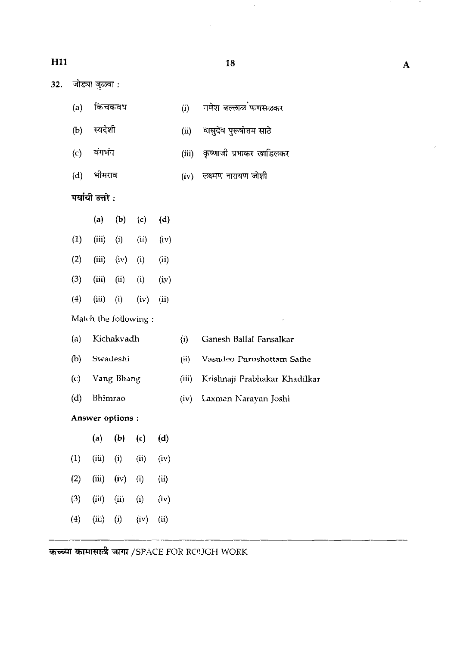# **H11**

 $\ddot{\phantom{0}}$ 

 $32.$ जोड्या जुळवा :

- (a) **किचकव**ध
- (i) गणेश बल्लाळ फणसळकर
- (ii) वासुदेव पुरूषोत्तम साठे
- वंगभंग  $(c)$
- (d) भीमराव<br>**पर्यायी उत्तरे** :

(b) स्वदेशी

 $(iv)$  लक्ष्मण नारायण जोशी

(iii) कृष्णाजी प्रभाकर खाडिलकर

|                     | $\bf(a)$ | $\left( b\right)$ | (c)               | (d)  |  |
|---------------------|----------|-------------------|-------------------|------|--|
| $\left( 1\right)$   | (iii)    | $\rm (i)$         | $\rm (ii)$        | (iv) |  |
| $\left( 2\right)$   | (iii)    | (iv)              | $\rm(i)$          | (ii) |  |
| (3)                 | (iii)    | $\rm (ii)$        | $\left( i\right)$ | (iv) |  |
| $\scriptstyle{(4)}$ | (iii)    | $\rm(i)$          | (iv)              | (ii) |  |
|                     |          |                   |                   |      |  |

Match the following :

| ${a}$ | Kichakvadh       | $\{i\}$ | Ganesh Ballal Fansalkar       |
|-------|------------------|---------|-------------------------------|
| (b)   | Swadeshi         | (n)     | Vasudeo Purushottam Sathe     |
| (c)   | Vang Bhang       | (u)     | Krishnaji Prabhakar Khadilkar |
| (d)   | Bhimrao          | (iv)    | - Laxman Narayan Joshi        |
|       | Answer options : |         |                               |
|       |                  |         |                               |

|                  | (a)   | (b)      | (c)       | (d)                         |
|------------------|-------|----------|-----------|-----------------------------|
| $\left(1\right)$ | (iii) | (i)      | (ii)      | (iv)                        |
| (2)              | (iii) | (iv)     | $\rm (i)$ | $\left( \mathrm{ii}\right)$ |
| (3)              | (iii) | (ii)     | $\rm (i)$ | (iv)                        |
| $\left(4\right)$ | (iii) | $\rm(i)$ | (iv)      | $\rm (ii)$                  |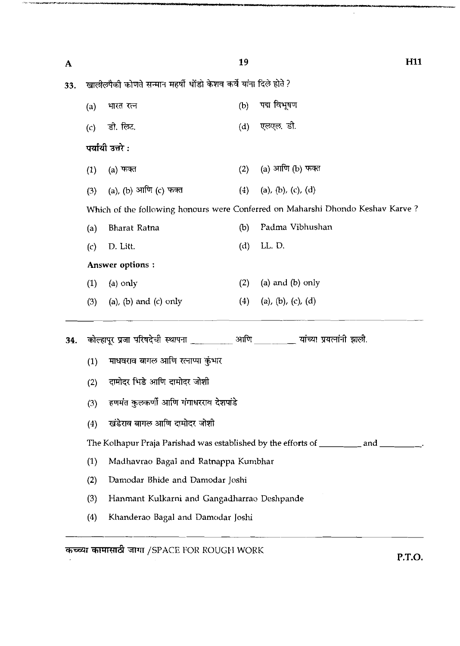| A   |                                     |                                                                                       | 19  | H <sub>11</sub>                                                                           |  |  |  |  |  |
|-----|-------------------------------------|---------------------------------------------------------------------------------------|-----|-------------------------------------------------------------------------------------------|--|--|--|--|--|
| 33. |                                     | खालीलपैकी कोणते सन्मान महर्षी धोंडो केशव कर्वे यांना दिले होते ?                      |     |                                                                                           |  |  |  |  |  |
|     | (a)                                 | भारत रत्न                                                                             | (b) | पद्म विभूषण                                                                               |  |  |  |  |  |
|     | (c)                                 | डी. लिट.                                                                              | (d) | एलएल डी.                                                                                  |  |  |  |  |  |
|     |                                     | पर्यायी उत्तरे :                                                                      |     |                                                                                           |  |  |  |  |  |
|     | (1)                                 | (a) फक्त                                                                              | (2) | (a) आणि (b) फक्त                                                                          |  |  |  |  |  |
|     | (3)                                 | (a), (b) आणि (c) फक्त                                                                 | (4) | (a), (b), (c), (d)                                                                        |  |  |  |  |  |
|     |                                     | Which of the following honours were Conferred on Maharshi Dhondo Keshav Karve?        |     |                                                                                           |  |  |  |  |  |
|     | (a)                                 | Bharat Ratna                                                                          | (b) | Padma Vibhushan                                                                           |  |  |  |  |  |
|     | (c)                                 | D. Litt.                                                                              | (d) | LL.D.                                                                                     |  |  |  |  |  |
|     |                                     | Answer options:                                                                       |     |                                                                                           |  |  |  |  |  |
|     | (1)                                 | (a) only                                                                              | (2) | $(a)$ and $(b)$ only                                                                      |  |  |  |  |  |
|     | (3)                                 | (a), (b) and (c) only                                                                 | (4) | (a), (b), (c), (d)                                                                        |  |  |  |  |  |
| 34. |                                     | कोल्हापूर प्रजा परिषदेची स्थापना ___________ आणि __________ यांच्या प्रयत्नांनी झाली. |     |                                                                                           |  |  |  |  |  |
|     | (1)                                 | माधवराव बागल आणि रत्नाप्पा कुंभार                                                     |     |                                                                                           |  |  |  |  |  |
|     | (2)                                 | दामोदर भिडे आणि दामोदर जोशी                                                           |     |                                                                                           |  |  |  |  |  |
|     | (3)                                 | हणमंत कुलकर्णी आणि गंगाधरराव देशपांडे                                                 |     |                                                                                           |  |  |  |  |  |
|     | खंडेराव बागल आणि दामोदर जोशी<br>(4) |                                                                                       |     |                                                                                           |  |  |  |  |  |
|     |                                     |                                                                                       |     | The Kolhapur Praja Parishad was established by the efforts of ___________ and __________. |  |  |  |  |  |
|     | (1)                                 | Madhavrao Bagal and Ratnappa Kumbhar                                                  |     |                                                                                           |  |  |  |  |  |
|     | (2)                                 | Damodar Bhide and Damodar Joshi                                                       |     |                                                                                           |  |  |  |  |  |
|     | (3)                                 | Hanmant Kulkarni and Gangadharrao Deshpande                                           |     |                                                                                           |  |  |  |  |  |
|     | (4)                                 | Khanderao Bagal and Damodar Joshi                                                     |     |                                                                                           |  |  |  |  |  |
|     |                                     |                                                                                       |     |                                                                                           |  |  |  |  |  |

कच्च्या कामासाठी जागा /SPACE FOR ROUGH WORK

**P.T.O.** 

.<br>Malakat Martin wa Katalonia

 $\hat{\mathcal{A}}$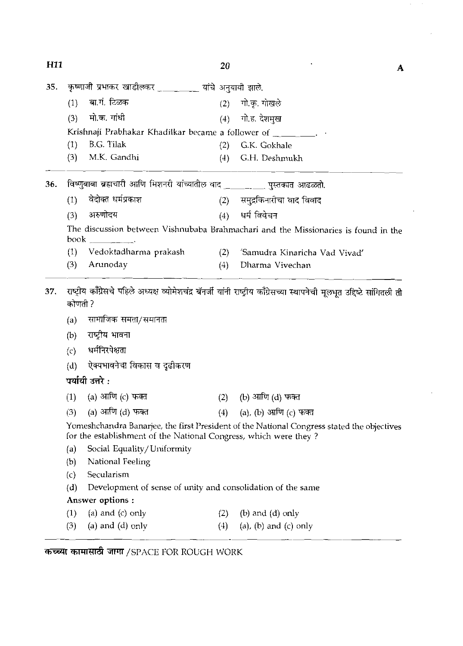| H <sub>11</sub> |         |                                                                             | 20  | A                                                                                                                           |
|-----------------|---------|-----------------------------------------------------------------------------|-----|-----------------------------------------------------------------------------------------------------------------------------|
|                 |         |                                                                             |     |                                                                                                                             |
| 35.             |         | कृष्णाजी प्रभाकर खाडीलकर _________ यांचे अनुयायी झाले.                      |     |                                                                                                                             |
|                 | (1)     | बा.गं. टिळक                                                                 | (2) | गो.कृ. गोखले                                                                                                                |
|                 | (3)     | मो.क. गांधी                                                                 | (4) | गो.ह. देशमुख                                                                                                                |
|                 |         | Krishnaji Prabhakar Khadilkar became a follower of ________.                |     |                                                                                                                             |
|                 | (1)     | B.G. Tilak                                                                  | (2) | G.K. Gokhale                                                                                                                |
|                 | (3)     | M.K. Gandhi                                                                 | (4) | G.H. Deshmukh                                                                                                               |
| 36.             |         | विष्णुबाबा ब्रह्मचारी आणि मिशनरी यांच्यातील वाद ___________ पुस्तकात आढळतो. |     |                                                                                                                             |
|                 | (1)     | वेदोक्त धर्मप्रकाश                                                          | (2) | समुद्रकिनारीचा वाद विवाद                                                                                                    |
|                 | (3)     | अरुणोदय                                                                     | (4) | धर्म विवेचन                                                                                                                 |
|                 | book    |                                                                             |     | The discussion between Vishnubaba Brahmachari and the Missionaries is found in the                                          |
|                 | (1)     | Vedoktadharma prakash                                                       | (2) | 'Samudra Kinaricha Vad Vivad'                                                                                               |
|                 | (3)     | Arunoday                                                                    | (4) | Dharma Vivechan                                                                                                             |
|                 |         |                                                                             |     |                                                                                                                             |
| 37.             | कोणती ? |                                                                             |     | राष्ट्रीय काँग्रेसचे पहिले अध्यक्ष व्योमेशचंद्र बॅनर्जी यांनी राष्ट्रीय काँग्रेसच्या स्थापनेची मूलभूत उद्दिष्टे सांगितली ती |
|                 | (a)     | सामाजिक समता/समानता                                                         |     |                                                                                                                             |
|                 | (b)     | राष्ट्रीय भावना                                                             |     |                                                                                                                             |
|                 | (c)     | धर्मनिरपेक्षता                                                              |     |                                                                                                                             |
|                 |         |                                                                             |     |                                                                                                                             |
|                 | (d)     | ऐक्यभावनेचा विकास व दृढीकरण<br>पर्यायी उत्तरे :                             |     |                                                                                                                             |
|                 | (1)     | (a) आणि (c) फक्त                                                            | (2) | (b) आणि (d) फक्त                                                                                                            |
|                 | (3)     | (a) आणि (d) फक्त                                                            | (4) |                                                                                                                             |
|                 |         | for the establishment of the National Congress, which were they?            |     | (a), (b) आणि (c) फक्त<br>Yomeshchandra Banarjee, the first President of the National Congress stated the objectives         |
|                 | (a)     | Social Equality/Uniformity                                                  |     |                                                                                                                             |
|                 | (b)     | National Feeling                                                            |     |                                                                                                                             |
|                 | (c)     | Secularism                                                                  |     |                                                                                                                             |
|                 | (d)     | Development of sense of unity and consolidation of the same                 |     |                                                                                                                             |
|                 |         | Answer options :                                                            |     |                                                                                                                             |
|                 | (1)     | (a) and $(c)$ only                                                          | (2) | $(b)$ and $(d)$ only                                                                                                        |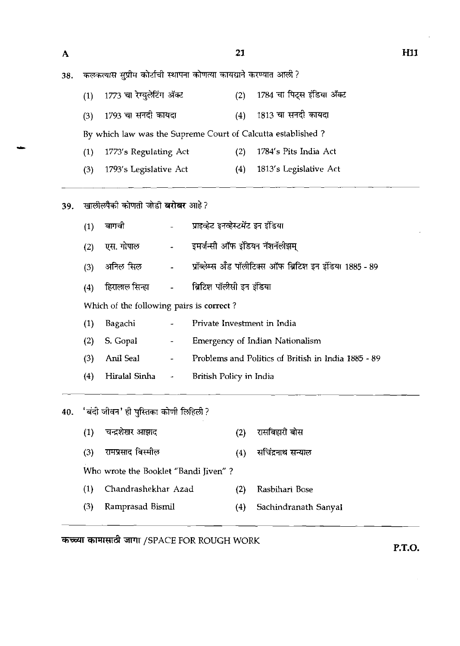**H11** 

21 कलकत्यास सुप्रीम कोर्टाची स्थापना कोणत्या कायद्याने करण्यात आली ? 38. 1773 चा रेग्युलेटिंग ॲक्ट 1784 चा पिट्स इंडिया ॲक्ट  $(1)$  $(2)$ (3) 1793 चा सनदी कायदा (4) 1813 चा सनदी कायदा By which law was the Supreme Court of Calcutta established ? (1) 1773's Regulating Act (2) 1784's Pits India Act (3) 1793's Legislative Act (4) 1813's Legislative Act

खालीलपैकी कोणती जोडी **बरोबर** आहे? 39.

| (1) | बागची                                    |                                 | प्राइव्हेट इनव्हेस्टमेंट इन इंडिया                                                          |
|-----|------------------------------------------|---------------------------------|---------------------------------------------------------------------------------------------|
| (2) | एस. गोपाल                                |                                 | - - इमर्जन्सी ऑफ इंडियन नॅशनॅलीझम्                                                          |
| (3) |                                          |                                 | अनिल सिल                           प्रॉब्लेम्स अँड पॉलीटिक्स ऑफ ब्रिटिश इन इंडिया 1885 - 89 |
| (4) |                                          |                                 | हिरालाल सिन्हा               ब्रिटिश पॉलीसी इन इंडिया                                       |
|     | Which of the following pairs is correct? |                                 |                                                                                             |
| (1) | Bagachi                                  |                                 | Private Investment in India                                                                 |
| (2) | S. Gopal                                 | $\sim$ 100 $\mu$                | Emergency of Indian Nationalism                                                             |
| (3) | Anil Seal                                | $\frac{1}{2}$ and $\frac{1}{2}$ | Problems and Politics of British in India 1885 - 89                                         |
| (4) | Hiralal Sinha -                          |                                 | British Policy in India                                                                     |

40.

|     | 'बंदी जीवन' ही पुस्तिका कोणी लिहिली ? |     |                      |
|-----|---------------------------------------|-----|----------------------|
| (1) | चन्द्रशेखर आझाद                       | (2) | रासबिहारी बोस        |
| (3) | रामप्रसाद बिस्मील                     | (4) | सचिंद्रनाथ सन्याल    |
|     | Who wrote the Booklet "Bandi Jiven" ? |     |                      |
| (1) | Chandrashekhar Azad                   |     | Rasbihari Bose       |
| (3) | Ramprasad Bismil                      | (4) | Sachindranath Sanyal |
|     |                                       |     |                      |

**कच्च्या कामासाठी जागा /SPACE FOR ROUGH WORK** 

**P.T.O.** 

 $\overline{\mathbf{A}}$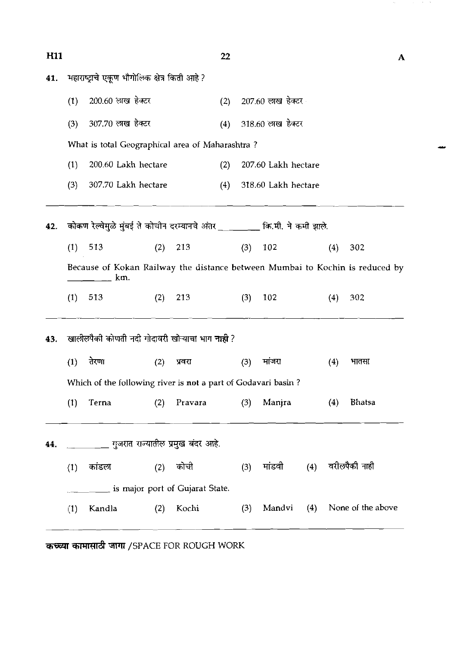| <b>H11</b> |     |                   |                                                                           |         | 22  |                     |                     |     |     | A                                                                            |
|------------|-----|-------------------|---------------------------------------------------------------------------|---------|-----|---------------------|---------------------|-----|-----|------------------------------------------------------------------------------|
| 41.        |     |                   | महाराष्ट्राचे एकूण भौगोलिक क्षेत्र किती आहे ?                             |         |     |                     |                     |     |     |                                                                              |
|            | (1) | 200.60 लाख हेक्टर |                                                                           |         | (2) |                     | 207.60 लाख हेक्टर   |     |     |                                                                              |
|            | (3) | 307.70 लाख हेक्टर |                                                                           |         | (4) |                     | 318.60 लाख हेक्टर   |     |     |                                                                              |
|            |     |                   | What is total Geographical area of Maharashtra?                           |         |     |                     |                     |     |     |                                                                              |
|            | (1) |                   | 200.60 Lakh hectare                                                       |         | (2) | 207.60 Lakh hectare |                     |     |     |                                                                              |
|            | (3) |                   | 307.70 Lakh hectare                                                       |         | (4) |                     | 318.60 Lakh hectare |     |     |                                                                              |
| 42.        |     |                   | कोकण रेल्वेमुळे मुंबई ते कोचीन दरम्यानचे अंतर _______ कि.मी. ने कमी झाले. |         |     |                     |                     |     |     |                                                                              |
|            | (1) | 513               | (2)                                                                       | 213     |     | (3)                 | 102                 |     | (4) | 302                                                                          |
|            |     | km.               |                                                                           |         |     |                     |                     |     |     | Because of Kokan Railway the distance between Mumbai to Kochin is reduced by |
|            | (1) | 513               | (2)                                                                       | 213     |     | (3)                 | 102                 |     | (4) | 302                                                                          |
| 43.        |     |                   | खालीलपैकी कोणती नदी गोदावरी खोऱ्याचा भाग <b>नाही</b> ?                    |         |     |                     |                     |     |     |                                                                              |
|            | (1) | तेरणा             | (2)                                                                       | प्रवरा  |     | (3)                 | मांजरा              |     | (4) | भातसा                                                                        |
|            |     |                   | Which of the following river is not a part of Godavari basin?             |         |     |                     |                     |     |     |                                                                              |
|            | (1) | Terna             | (2)                                                                       | Pravara |     | (3)                 | Manjra              |     | (4) | <b>Bhatsa</b>                                                                |
| 44.        |     |                   | __________ गुजरात राज्यातील प्रमुख बंदर आहे.                              |         |     |                     |                     |     |     |                                                                              |
|            | (1) | कांडल             | (2)                                                                       | कोची    |     | (3)                 | मांडवी (4)          |     |     | वरीलपैकी नाही                                                                |
|            |     |                   | ______ is major port of Gujarat State.                                    |         |     |                     |                     |     |     |                                                                              |
|            | (1) | Kandla            | (2)                                                                       | Kochi   |     | (3)                 | Mandvi              | (4) |     | None of the above                                                            |
|            |     |                   |                                                                           |         |     |                     |                     |     |     |                                                                              |

 $\mathcal{O}(10^{-10})$  , where  $\mathcal{O}(10^{-10})$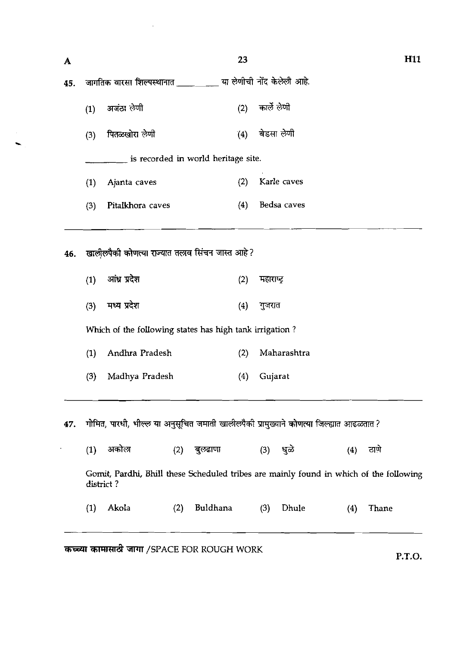| A   |     |                                                                                         | 23  |                              | H11 |
|-----|-----|-----------------------------------------------------------------------------------------|-----|------------------------------|-----|
| 45. |     | जागतिक वारसा शिल्पस्थानात ____________ या लेणीची नोंद केलेली आहे.                       |     |                              |     |
|     | (1) | अजंठा लेणी                                                                              | (2) | कार्ले लेणी                  |     |
|     | (3) | पितळखोरा लेणी                                                                           | (4) | बेडसा लेणी                   |     |
|     |     | is recorded in world heritage site.                                                     |     |                              |     |
|     | (1) | Ajanta caves                                                                            | (2) | Karle caves                  |     |
|     | (3) | Pitalkhora caves                                                                        | (4) | Bedsa caves                  |     |
|     | (1) | आंध्र प्रदेश                                                                            | (2) | महाराष्ट्र                   |     |
| 46. |     | खालीलपैकी कोणत्या राज्यात तलाव सिंचन जास्त आहे ?                                        |     |                              |     |
|     | (3) | मध्य प्रदेश                                                                             | (4) | गुजरात                       |     |
|     |     | Which of the following states has high tank irrigation?                                 |     |                              |     |
|     | (1) | Andhra Pradesh                                                                          | (2) | Maharashtra                  |     |
|     | (3) | Madhya Pradesh                                                                          | (4) | Gujarat                      |     |
|     |     |                                                                                         |     |                              |     |
| 47. |     | गोमित, पारधी, भील्ल या अनुसूचित जमाती खालीलपैकी प्रामुख्याने कोणत्या जिल्ह्यात आढळतात ? |     |                              |     |
|     | (1) | अकोला<br>(2)<br>बल्र्हाणा                                                               |     | <u>(4) हाणे</u><br>ਬਕ<br>(3) |     |

 $\mathcal{A}^{\mathcal{A}}$ 

| $\left( 1\right)$ | अकाला                                       | (2) | बुल्र्ढाणा | (3) | भूळे  | (4) | ठाणे                                                                                   |
|-------------------|---------------------------------------------|-----|------------|-----|-------|-----|----------------------------------------------------------------------------------------|
|                   | district?                                   |     |            |     |       |     | Gomit, Pardhi, Bhill these Scheduled tribes are mainly found in which of the following |
| $\left( 1\right)$ | Akola                                       | (2) | Buldhana   | (3) | Dhule | (4) | Thane                                                                                  |
|                   | कच्च्या कामासाठी जागा /SPACE FOR ROUGH WORK |     |            |     |       |     | PTO.                                                                                   |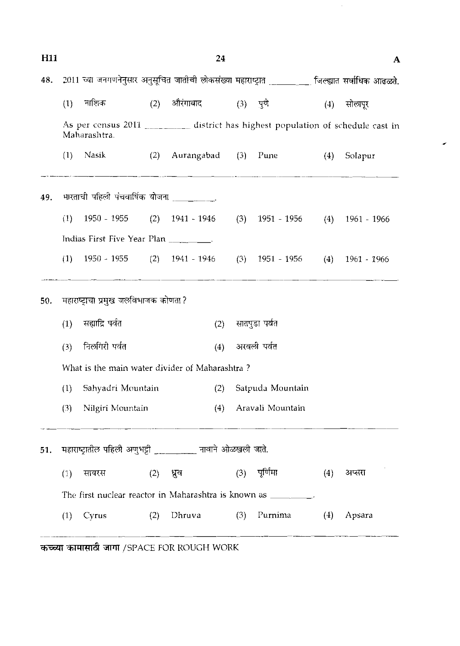| H <sub>11</sub> |     |                                                                                                 |           | 24                                  |     |                                     |     | A                 |
|-----------------|-----|-------------------------------------------------------------------------------------------------|-----------|-------------------------------------|-----|-------------------------------------|-----|-------------------|
| 48.             |     | 2011 च्या जनगणनेनुसार अनुसूचित जातीची लोकसंख्या महाराष्ट्रात ________ जिल्ह्यात सर्वाधिक आढळते. |           |                                     |     |                                     |     |                   |
|                 | (1) | नाशिक                                                                                           |           | (2) औरंगाबाद                        |     | $(3)$ पुणे                          |     | (4) सोलापूर       |
|                 |     | As per census 2011 ________ district has highest population of schedule cast in<br>Maharashtra. |           |                                     |     |                                     |     |                   |
|                 |     | $(1)$ Nasik                                                                                     |           | (2) Aurangabad (3) Pune (4) Solapur |     |                                     |     |                   |
| 49.             |     | भारताची पहिली पंचवार्षिक योजना __________.                                                      |           |                                     |     |                                     |     |                   |
|                 | (1) | 1950 - 1955                                                                                     |           | $(2)$ 1941 - 1946                   |     | $(3)$ 1951 - 1956 $(4)$ 1961 - 1966 |     |                   |
|                 |     | Indias First Five Year Plan _________.                                                          |           |                                     |     |                                     |     |                   |
|                 | (1) | 1950 - 1955                                                                                     |           | $(2)$ 1941 - 1946                   |     | $(3)$ 1951 - 1956                   |     | $(4)$ 1961 - 1966 |
| 50.             |     | महाराष्ट्राचा प्रमुख जलविभाजक कोणता?                                                            |           |                                     |     |                                     |     |                   |
|                 | (1) | सह्याद्रि पर्वत                                                                                 |           | (2)                                 |     | सातपुडा पर्वत                       |     |                   |
|                 | (3) | निलगिरी पर्वत                                                                                   |           | (4)                                 |     | अरवली पर्वत                         |     |                   |
|                 |     | What is the main water divider of Maharashtra?                                                  |           |                                     |     |                                     |     |                   |
|                 | (1) | Sahyadri Mountain                                                                               |           | (2)                                 |     | Satpuda Mountain                    |     |                   |
|                 | (3) | Nilgiri Mountain                                                                                |           | (4)                                 |     | Aravali Mountain                    |     |                   |
| 51.             |     | महाराष्ट्रातील पहिली अणुभट्टी __________ नावाने ओळखली जाते.                                     |           |                                     |     |                                     |     |                   |
|                 | (1) | सायरस                                                                                           | (2) ध्रुव |                                     |     | (3) पूर्णिमा                        | (4) | अप्तरा            |
|                 |     | The first nuclear reactor in Maharashtra is known as _________.                                 |           |                                     |     |                                     |     |                   |
|                 |     | $(1)$ Cyrus                                                                                     | (2)       | Dhruva                              | (3) | Purnima                             |     | $(4)$ Apsara      |
|                 |     |                                                                                                 |           |                                     |     |                                     |     |                   |

 $\hat{\mathcal{A}}$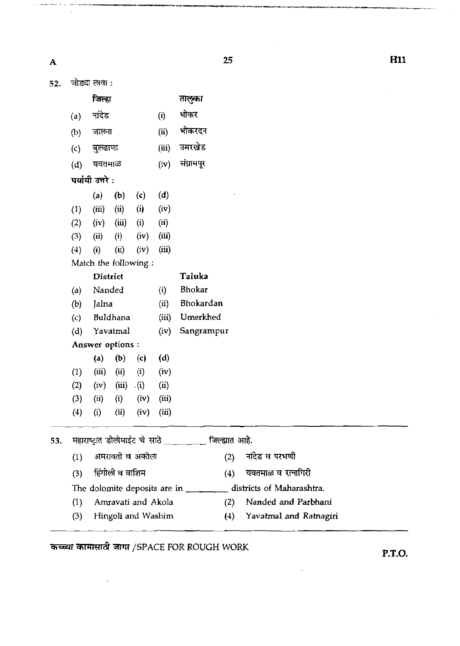$\hat{\phi}$  is a probably<br>compact of the  $\hat{\phi}$ 

-an<del>ve</del>s

 $\mathcal{L}$ 

.<br>Militah **dalamatuati** niyati kachin kabul na *dag*a dika

 $\hat{\alpha}$ 

.<br>Antingriya (antingr

**H11** 

.<br>Martin 1999 - Martin Martin 1990 - Paris de l'Alexandro de l'Alexandro de l'Alexandro de l'Alexandro de l'Alex

 $\hat{\mathcal{A}}$ 

| 52. |                      | जोड्या लावा :    |                 |                    |       |                                                                                                                                                                                                                                                                                                                                                                                                                                        |
|-----|----------------------|------------------|-----------------|--------------------|-------|----------------------------------------------------------------------------------------------------------------------------------------------------------------------------------------------------------------------------------------------------------------------------------------------------------------------------------------------------------------------------------------------------------------------------------------|
|     |                      | जिल्हा           |                 |                    |       | तालुका                                                                                                                                                                                                                                                                                                                                                                                                                                 |
|     | (a)                  | नांदेड<br>(i)    |                 |                    |       | भोकर                                                                                                                                                                                                                                                                                                                                                                                                                                   |
|     | जालना<br>(b)         |                  |                 |                    | (ii)  | भोकरदन                                                                                                                                                                                                                                                                                                                                                                                                                                 |
|     | (c)                  | बुल्ढाणा         |                 |                    | (iii) | उमरखेड                                                                                                                                                                                                                                                                                                                                                                                                                                 |
|     | (d)                  | यवतमाळ           |                 |                    | (iv)  | संग्रामपूर                                                                                                                                                                                                                                                                                                                                                                                                                             |
|     |                      | पर्यायी उत्तरे : |                 |                    |       |                                                                                                                                                                                                                                                                                                                                                                                                                                        |
|     |                      | (a)              | (b)             | (c)                | (d)   |                                                                                                                                                                                                                                                                                                                                                                                                                                        |
|     | (1)                  | (iii)            | (ii)            | (i)                | (iv)  |                                                                                                                                                                                                                                                                                                                                                                                                                                        |
|     | (2)                  | (iv)             | (iii)           | (i)                | (ii)  |                                                                                                                                                                                                                                                                                                                                                                                                                                        |
|     | (3)                  | (ii)             | (i)             | (iv)               | (iii) |                                                                                                                                                                                                                                                                                                                                                                                                                                        |
|     | (4)                  | (i)              | (i)             | (iv)               | (iii) |                                                                                                                                                                                                                                                                                                                                                                                                                                        |
|     | Match the following: |                  |                 |                    |       |                                                                                                                                                                                                                                                                                                                                                                                                                                        |
|     | <b>District</b>      |                  |                 |                    |       | Taluka                                                                                                                                                                                                                                                                                                                                                                                                                                 |
|     | (a)                  | Nanded           |                 |                    | (i)   | Bhokar                                                                                                                                                                                                                                                                                                                                                                                                                                 |
|     | Jalna<br>(b)         |                  | (ii)            | Bhokardan          |       |                                                                                                                                                                                                                                                                                                                                                                                                                                        |
|     | $\left( c \right)$   |                  | Buldhana        |                    | (iii) | Umerkhed                                                                                                                                                                                                                                                                                                                                                                                                                               |
|     | (d)                  |                  | Yavatmal        |                    | (iv)  | Sangrampur                                                                                                                                                                                                                                                                                                                                                                                                                             |
|     |                      | Answer options : |                 |                    |       |                                                                                                                                                                                                                                                                                                                                                                                                                                        |
|     |                      | (a)              | (b)             | (c)                | (d)   |                                                                                                                                                                                                                                                                                                                                                                                                                                        |
|     | (1)                  | (iii)            | (ii)            | (i)                | (iv)  |                                                                                                                                                                                                                                                                                                                                                                                                                                        |
|     | (2)                  | (iv)             | (iii)           | $\cdot$ (i)        | (ii)  |                                                                                                                                                                                                                                                                                                                                                                                                                                        |
|     | (3)                  | (ii)             | (i)             | (iv)               | (iii) |                                                                                                                                                                                                                                                                                                                                                                                                                                        |
|     | (4)                  | (i)              | (ii)            | (iv)               | (iii) |                                                                                                                                                                                                                                                                                                                                                                                                                                        |
| 53. |                      |                  |                 |                    |       | महाराष्ट्रात डोलोमाईट चे साठे ________ जिल्ह्यात आहे.                                                                                                                                                                                                                                                                                                                                                                                  |
|     | (1)                  |                  |                 | अमरावती व अकोला    |       | नांदेड व परभणी<br>(2)                                                                                                                                                                                                                                                                                                                                                                                                                  |
|     | (3)                  |                  | हिंगोली व वाशिम |                    |       | यवतमाळ व रत्नागिरी<br>(4)                                                                                                                                                                                                                                                                                                                                                                                                              |
|     |                      |                  |                 |                    |       | districts of Maharashtra.<br>The dolomite deposits are in $\frac{1}{\sqrt{1-\frac{1}{\sqrt{1-\frac{1}{\sqrt{1-\frac{1}{\sqrt{1-\frac{1}{\sqrt{1-\frac{1}{\sqrt{1-\frac{1}{\sqrt{1-\frac{1}{\sqrt{1-\frac{1}{\sqrt{1-\frac{1}{\sqrt{1-\frac{1}{\sqrt{1-\frac{1}{\sqrt{1-\frac{1}{\sqrt{1-\frac{1}{\sqrt{1-\frac{1}{\sqrt{1-\frac{1}{\sqrt{1-\frac{1}{\sqrt{1-\frac{1}{\sqrt{1-\frac{1}{\sqrt{1-\frac{1}{\sqrt{1-\frac{1}{\sqrt{1-\frac$ |
|     | (1)                  |                  |                 | Amravati and Akola |       | Nanded and Parbhani<br>(2)                                                                                                                                                                                                                                                                                                                                                                                                             |
|     | (3)                  |                  |                 | Hingoli and Washim |       | Yavatmal and Ratnagiri<br>(4)                                                                                                                                                                                                                                                                                                                                                                                                          |
|     |                      |                  |                 |                    |       |                                                                                                                                                                                                                                                                                                                                                                                                                                        |

**THE INFORM AND IN THE POST OF THE PRINCE FOR ROUGH WORK P.T.O. P.T.O.** 

 $\bar{\mathcal{L}}$ 

 $\overline{\phantom{a}}$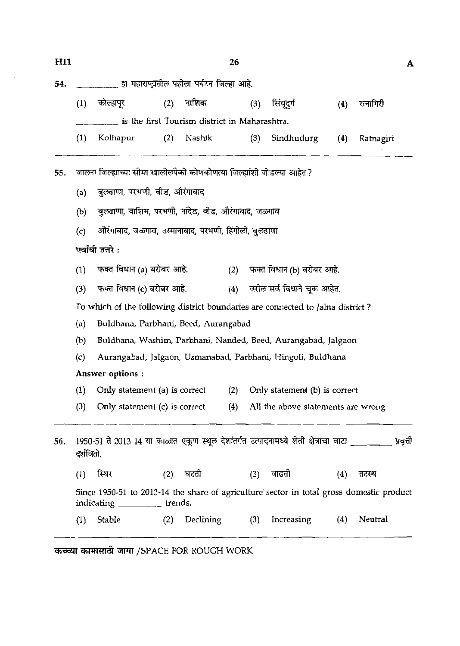$\sim$ 

| H <sub>11</sub> |                                                                                |                                                                                                                            |     |           | 26  |     |                                        |     |            | A |  |  |  |
|-----------------|--------------------------------------------------------------------------------|----------------------------------------------------------------------------------------------------------------------------|-----|-----------|-----|-----|----------------------------------------|-----|------------|---|--|--|--|
| 54.             |                                                                                | _______ हा महाराष्ट्रातील पहीला पर्यटन जिल्हा आहे.                                                                         |     |           |     |     |                                        |     |            |   |  |  |  |
|                 | (1)                                                                            | कोल्हापूर                                                                                                                  | (2) | नाशिक     |     | (3) | सिंधूदुर्ग                             | (4) | रत्नागिरी  |   |  |  |  |
|                 | is the first Tourism district in Maharashtra.                                  |                                                                                                                            |     |           |     |     |                                        |     |            |   |  |  |  |
|                 | (1)                                                                            | Kolhapur                                                                                                                   | (2) | Nashik    |     | (3) | Sindhudurg                             | (4) | Ramagiri , |   |  |  |  |
| 55.             | जालना जिल्ह्याच्या सीमा खालीलपैकी कोणकोणत्या जिल्ह्यांशी जोडल्या आहेत ?        |                                                                                                                            |     |           |     |     |                                        |     |            |   |  |  |  |
|                 | (a)                                                                            | बुल्रदाणा, परभणी, बीड, औरंगाबाद                                                                                            |     |           |     |     |                                        |     |            |   |  |  |  |
|                 | (b)                                                                            | बुलढाणा, वाशिम, परभणी, नांदेड, बीड, औरंगाबाद, जळगाव                                                                        |     |           |     |     |                                        |     |            |   |  |  |  |
|                 | (c)                                                                            | औरंगाबाद, जळगाव, उस्मानाबाद, परभणी, हिंगोली, बुलढाणा                                                                       |     |           |     |     |                                        |     |            |   |  |  |  |
|                 | पर्यायी उत्तरे :                                                               |                                                                                                                            |     |           |     |     |                                        |     |            |   |  |  |  |
|                 | (1)                                                                            | फक्त विधान (a) बरोबर आहे.                                                                                                  |     |           | (2) |     | फक्त विधान (b) बरोबर आहे.              |     |            |   |  |  |  |
|                 | (3)                                                                            | (4) वरील सर्व विधाने चुक आहेत.<br>फक्त विधान (c) बरोबर आहे.                                                                |     |           |     |     |                                        |     |            |   |  |  |  |
|                 | To which of the following district boundaries are connected to Jalna district? |                                                                                                                            |     |           |     |     |                                        |     |            |   |  |  |  |
|                 | (a)                                                                            | Buldhana, Parbhani, Beed, Aurangabad                                                                                       |     |           |     |     |                                        |     |            |   |  |  |  |
|                 | (b)                                                                            | Buldhana, Washim, Parbhani, Nanded, Beed, Aurangabad, Jalgaon                                                              |     |           |     |     |                                        |     |            |   |  |  |  |
|                 | (c)                                                                            | Aurangabad, Jalgaon, Usmanabad, Parbhani, Hingoli, Buldhana                                                                |     |           |     |     |                                        |     |            |   |  |  |  |
|                 | Answer options:                                                                |                                                                                                                            |     |           |     |     |                                        |     |            |   |  |  |  |
|                 | (1)                                                                            | Only statement (a) is correct                                                                                              |     |           | (2) |     | Only statement (b) is correct          |     |            |   |  |  |  |
|                 | (3)                                                                            | Only statement (c) is correct                                                                                              |     |           |     |     | (4) All the above statements are wrong |     |            |   |  |  |  |
| 56.             | दर्शवितो.                                                                      | 1950-51 ते 2013-14 या काळात एकूण स्थूल देशांतर्गत उत्पादनामध्ये शेती क्षेत्राचा वाटा _________ प्रवृत्ती                   |     |           |     |     |                                        |     |            |   |  |  |  |
|                 | (1)                                                                            | स्थिर                                                                                                                      | (2) | घटती      |     | (3) | वाढती                                  | (4) | तटस्थ      |   |  |  |  |
|                 |                                                                                | Since 1950-51 to 2013-14 the share of agriculture sector in total gross domestic product<br>indicating ___________ trends. |     |           |     |     |                                        |     |            |   |  |  |  |
|                 | (1)                                                                            | Stable                                                                                                                     | (2) | Declining |     | (3) | Increasing                             | (4) | Neutral    |   |  |  |  |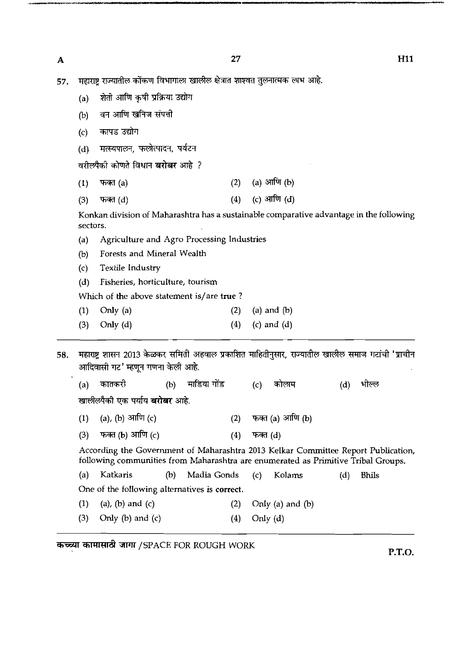$\overline{\mathbf{A}}$ 

**H11** 

57. महाराष्ट्र राज्यातील कोंकण विभागाला खालील क्षेत्रात शाश्वत तुलनात्मक लाभ आहे.

(a) शेती आणि कृषी प्रक्रिया उद्योग

(b) वन आणि खनिज संपत्ती

कापड उद्योग  $(c)$ 

मत्स्यपालन, फलोत्पादन, पर्यटन  $(d)$ 

वरीलपैकी कोणते विधान बरोबर आहे ?

- (a) आणि  $(b)$  $(2)$  $(1)$ फक्त (a)
- (c) आणि (d) फक्त $(d)$  $(4)$  $(3)$

Konkan division of Maharashtra has a sustainable comparative advantage in the following sectors.

- (a) Agriculture and Agro Processing Industries
- (b) Forests and Mineral Wealth
- (c) Textile Industry
- **(d)** Fisheries, horticulture, tourism

Which of the above statement is/are **true** ?

- (1) Only (a)  $(2)$  (a) and (b)
- (3) Only (d)  $(4)$  (c) and (d)

महाराष्ट्र शासन 2013 केळकर समिती अहवाल प्रकाशित माहितीनुसार, राज्यातील खालील समाज गटांची 'प्राचीन 58. आदिवासी गट' म्हणून गणना केली आहे.

माडिया गोंड कातकरी कोलाम भील्ल  $(b)$  $(c)$  $(d)$  $(a)$ 

खालीलपैकी एक पर्याय **बरोबर** आहे.

- (a), (b) आणि (c) फक्त (a) आणि (b)  $(1)$  $(2)$
- फक्त (b) आणि (c)  $(3)$  $(4)$ फक्त (d)

According the Government of Maharashtra 2013 Kelkar Committee Report Publication, following communities from Maharashtra are enumerated as Primitive Tribal Groups.

(a) Katkaris (b) Madia Gonds (c) Kolams (d) Bhils

One of the following alternatives is **correct.** 

- (1) (a), (b) and (c)  $(2)$  Only (a) and (b)
- (3) Only (b) and (c)  $(4)$  Only  $(d)$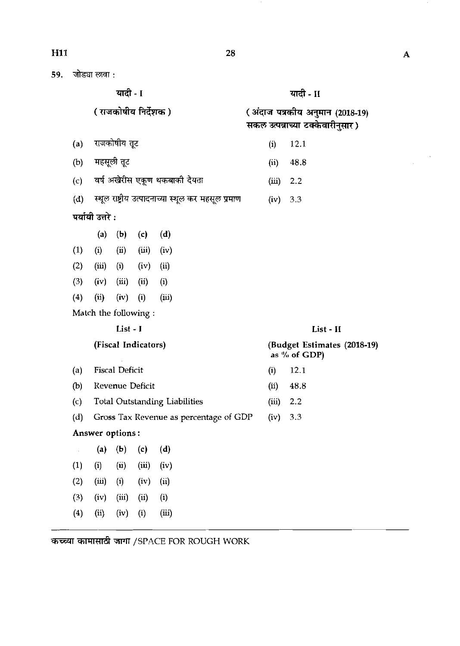59. जोड्या लावा :

| ٠<br>ı<br>٠ |  |
|-------------|--|
|-------------|--|

( राजकोषीय निर्देशक) (अंदाज पत्रकीय अनुमान (2018-19) सकल उत्पन्नाच्या टक्केवारीनुसार) राजकोषीय तूट  $(a)$ (i) 12.1 महसूली तूट  $(b)$ (ii) 48.8 (c) वर्ष अखेरीस एकूण थकबाकी देयता (iii) 2.2 (d) स्थूल राष्ट्रीय उत्पादनाच्या स्थूल कर महसूल प्रमाण (iv) 3.3 पर्यायी उत्तरे $:$ (a) (b) (c) (d)  $(1)$  (i) (ii) (iii) (iv)  $(2)$   $(iii)$   $(i)$   $(iv)$   $(ii)$  $(3)$   $(iv)$   $(iii)$   $(ii)$   $(i)$ (4) (ii) (iv) (i) (iii) Match the following : List - I List - **I1**  (Fiscal Indicators) (Budget Estimates (2018-19) as  $\%$  of GDP) (a) Fiscal Deficit  $(i)$  12.1 (b) Revenue Deficit (ii) 48.8 (c) Total Outstanding Liabilities  $(iii)$  2.2 (d) Gross Tax Revenue as percentage of GDP (iv) 3.3 Answer options : **(a)** (b) (c) (4

|     |                                    | $\mathbf{v}$                      |  |
|-----|------------------------------------|-----------------------------------|--|
|     | $(1)$ $(ii)$ $(ii)$ $(iii)$ $(iv)$ |                                   |  |
| (2) |                                    | $(iii)$ $(i)$ $(iv)$ $(ii)$       |  |
|     | $(3)$ $(iv)$ $(iii)$ $(ii)$ $(i)$  |                                   |  |
|     |                                    | $(4)$ $(ii)$ $(iv)$ $(i)$ $(iii)$ |  |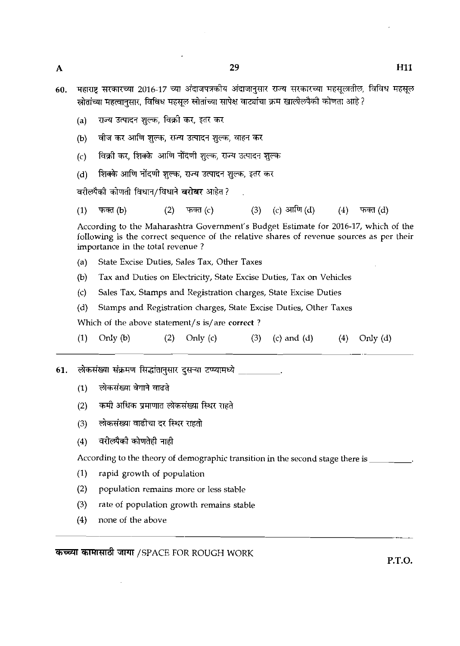- *60.* **Tq.** V3iPFil 2016.17 =TI **?ikrlr?l.h?S** 3kFQm 7T39 ?xmwll fBtBq **v**  <u>स्रोतांच्या महत्वानसार, विविध महसूल स्रोतांच्या सापेक्ष वाट्यांचा क्रम खालीलपैकी कोणता आहे ?</u>
	- (a) सज्य उत्पादन शुल्क, विक्री कर, इतर कर
	- वीज कर आणि शुल्क, राज्य उत्पादन शुल्क, वाहन कर  $(b)$
	- विक्री कर, शिक्के आणि नोंदणी शुल्क, राज्य उत्पादन शुल्क  $(c)$
	- शिक्के आणि नोंदणी शुल्क, राज्य उत्पादन शुल्क, इतर कर  $(d)$

वरीलपैकी कोणती विधान/विधाने बरोबर आहेत?

(c) आणि  $(d)$  $(1)$  $\pi$ क्त (b)  $(2)$ फक्त $(c)$  $(3)$  $(4)$ फक्त $(d)$ 

According to the Maharashtra Government's Budget Estimate for 2016-17, which of the following is the correct sequence of the relative shares of revenue sources as per their importance in the total revenue ?

- (a) State Excise Duties, Sales Tax, Other Taxes
- @) Tax and Duties on Electricity, State Excise Duties, Tax on Vehicles
- (c) Sales Tax, Stamps and Registration charges, State Excise Duties
- (d) Stamps and Registration charges, State Excise Duties, Other Taxes

Which of the above statement/s is/are **correct** ?

|  | $(1)$ Only $(b)$ |  | $(2)$ Only $(c)$ |  | $(3)$ (c) and (d) |  | $(4)$ Only $(d)$ |
|--|------------------|--|------------------|--|-------------------|--|------------------|
|--|------------------|--|------------------|--|-------------------|--|------------------|

लोकसंख्या संक्रमण सिद्धांतानुसार दुसऱ्या टप्प्यामध्ये . 61.

- लोकसंख्या वेगाने वाढते  $(1)$
- कमी अधिक प्रमाणात लोकसंख्या स्थिर राहते  $(2)$
- (3) लोकसंख्या वाढीचा दर स्थिर राहतो<br>(4) वरीलपैकी कोणतेही नाही
- 

According to the theory of demographic transition in the second stage there is \_\_\_\_\_

- (1) rapid growth of population
- (2) population remains more or less stable
- (3) rate of population growth remains stable
- (4) none of the above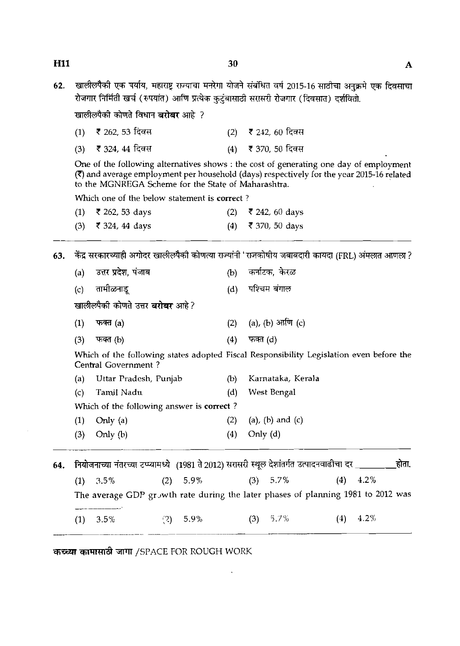खालीलपैकी एक पर्याय, महाराष्ट्र राज्याचा मनरेगा योजने संबंधित वर्ष 2015-16 साठीचा अनुक्रमे एक दिवसाचा 62. रोजगार निर्मिती खर्च (रुपयांत) आणि प्रत्येक कुटुंबासाठी सरासरी रोजगार (दिवसात) दर्शवितो.

खालीलपैकी कोणते विधान **बरोबर** आहे. ?

**H11** 

| (1) ₹ 262, 53 दिवस | (2) ₹ 242, 60 दिवस |
|--------------------|--------------------|
| (3) ₹ 324, 44 दिवस | (4) ₹ 370, 50 दिवस |

One of the following alternatives shows : the cost of generating one day of employment (7) and average employment per household (days) respectively for the year 2015-16 related to the MGNREGA Scheme for the State of Maharashtra.

Which one of the below statement is correct ?

| $(1)$ ₹ 262, 53 days | (2) ₹ 242, 60 days |
|----------------------|--------------------|
| (3) ₹ 324, 44 days   | (4) ₹ 370, 50 days |

63. केंद्र सरकारच्याही अगोदर खालीलपैकी कोणत्या राज्यांनी 'राजकोषीय जबाबदारी कायदा (FRL) अंमलात आणला ?

| Which one of the below statement is correct?                          |     |                            |
|-----------------------------------------------------------------------|-----|----------------------------|
| $(1)$ ₹ 262, 53 days                                                  | (2) | ₹ 242, 60 days             |
| (3) ₹ 324, 44 days                                                    |     | (4) ₹ 370, 50 days         |
| केंद्र सरकारच्याही अगोदर खालीलपैको कोणत्या राज्यांनी 'राजकोषीय जबाबदा |     |                            |
| (a) उत्तर प्रदेश, पंजाब                                               |     | (b) कर्नाटक, केरळ          |
| (c) तामीळनाडू                                                         |     | (d) पश्चिम बंगाल           |
| खालीलपैकी कोणते उत्तर <b>बरोबर</b> आहे?                               |     |                            |
| (1) फक्त (a)                                                          |     | (2) (a), (b) $3\pi\pi$ (c) |
| (3) फक्त (b)                                                          | (4) | फक्त (d)                   |
|                                                                       |     |                            |

Which of the following states adopted Fiscal Responsibility Legislation even before the Central Government ?

|     | (a) Uttar Pradesh, Punjab                 | (b) | Karnataka, Kerala |
|-----|-------------------------------------------|-----|-------------------|
|     | (c) Tamil Nadu                            | (d) | West Bengal       |
|     | Which of the following answer is correct? |     |                   |
|     | $(1)$ Only $(a)$                          | (2) | (a), (b) and (c)  |
| (3) | Only $(b)$                                | (4) | Only $(d)$        |

64. नियोजनाच्या नंतरच्या टप्प्यामध्ये (1981 ते 2012) सरासरी स्थूल देशांतर्गत उत्पादनवाढीचा दर \_\_\_\_\_\_\_\_\_\_\_\_होता. (1) *3.5%* (2) 5.9% (3) 5.7% (4) 4.2% The average GDP growth rate during the later phases of planning 1981 to 2012 was (1)  $3.5\%$  (2)  $5.9\%$  (3)  $5.7\%$  (4)  $4.2\%$  $(2)$  5.9% (3) 5.7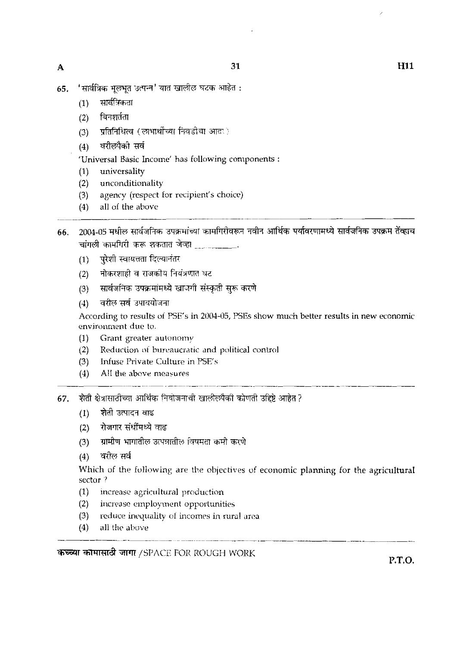- 'सार्वत्रिक मुलभूत उत्पन्न' यात खालील घटक आहेत : 65.
	- $(1)$  सार्वत्रिकता
	- $(2)$  बिनश $\delta$ ता
	- *(*3) प्रतिनिधित्व (लाभार्थाच्या निवडीचा आदर)
	- $(4)$  वरीलपैको सर्व

'Universal Basic Income' has following components :

- (I) universality
- (2) unconditionality
- (3) agency (respect for recipient's choice)<br>(4) all of the above
- all of the above
- 2004-05 मधील सार्वजनिक उपक्रमांच्या कामगिरीवरून नवीन आर्थिक पर्यावरणामध्ये सार्वजनिक उपक्रम तेंव्हाच 66. चांगली कामगिरी करू शकतात जेव्हा
	- परेशी स्वायत्तता दिल्यानंतर  $(1)$
	- नोकरशाही व राजकीय नियंत्रणात घट  $(2)$
	- सार्वजनिक उपक्रमांमध्ये खाजगी संस्कृती सुरू करणे  $(3)$
	- (4) वरील सर्व उपाययोजना

According to results of PSE's in 2004-05, PSEs show much better results in new economic environment due to.

- (1) Grant greater autonomy
- (2) Reduction of bureaucratic and political control<br>(3) Infuse Private Culture in PSE's
- Infuse Private Culture in  $PSE's$
- (4) All the above measures
- 67. शेती क्षेत्रासाठीच्या आर्थिक नियोजनाची खालीलपैकी कोणती उद्दिष्टे आहेत?
	- (1) शेती उत्पादन वाढ
	- (2) रोजगार संधींमध्ये वाढ
	- (2) रोजगार संधींमध्ये वाढ<br>(3) ग्रामीण भागातील उत्पन्नातील विषमता कमी करणे<br>(4) वरील सर्व<br>Which of the following are the abiestives :
	-

Which of the following are the objectives of economic planning for the agricultural sector ?

- $(1)$  increase agricultural production
- $(2)$  increase employment opportunities
- $(3)$  reduce inequality of incomes in rural area
- $(4)$  all the above

37EXT 5MI73Ta **TFTT** /SIJACE FOii ROUGH WORK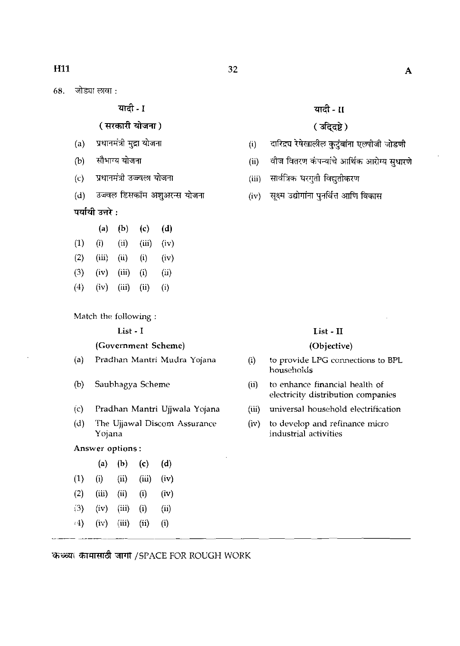**wet- <sup>I</sup>**

# ( सरकारी योजना)

- (a) प्रधानमंत्री मुद्रा योजना
- (b) सौभाग्य योजना
- (c) प्रधानमंत्री उज्ज्वला योजना
- (d) उज्ज्वल डिसकॉम अशुअरन्स योजना

# पर्यायी उत्तरे :

|                   | (a)   | (b)   | $\left( 0 \right)$ | (d)        |
|-------------------|-------|-------|--------------------|------------|
| (1)               | (i)   | (ii)  | (iii)              | (iv)       |
| (2)               | (iii) | (ii)  | $\rm(i)$           | (iv)       |
| (3)               | (iv)  | (iii) | (i)                | $\rm (ii)$ |
| $\left( 4\right)$ | (iv)  | (iii) | (iii)              | $\rm(i)$   |

Match the following :

### List - I

## (Government Scheme)

- (a) Pradlian Mantri Mudra Yojana
- (b) Sauhhagya Scheme
- (c) Pradhan Mantri Ujjwala Yojana
- (d) The Ujjawal Discom Assurance Yojana

## Answer options :

|     | (a)   | (b)   | (c)   | (d)  |
|-----|-------|-------|-------|------|
| (1) | (i)   | (ii)  | (iii) | (iv) |
| (2) | (iii) | (ii)  | (i)   | (iv) |
| (3) | (iv)  | (iii) | (i)   | (ii) |
| :4) | (iv)  | (iii) | (ii)  | (i)  |
|     |       |       |       |      |

**wet- I1** 

# ( उद्दिष्टे)

- 
- ( उद्दि्दष्टे )<br>(i) दारिद्र्य रेषेखालील कुटुंबांना एलपीजी जोडणी<br>(ii) वीज वितरण कंपन्यांचे आर्थिक आरोग्य सुधारणे<br>(iii) सक्ष्म उद्योगांना पनर्वित्त आणि विकास<br>(iv) सक्ष्म उद्योगांना पनर्वित्त आणि विकास (ii) वीज वितरण कंपन्यांचे आर्थिक आरोग्य सुधारणे
- 

(iii) सार्वत्रिक घरगुती विद्युतीकरण<br>(iv) सूक्ष्म उद्योगांना पुनर्वित्त आणि विकास

### List - **I1**

### (Objective)

- (i) to provide LPG connections to BPL households
- (ii) to enhance financial health of electricity distribution companies
- (iii) universal household electrification
- (iv) to develop and refinance micro industrial activities

32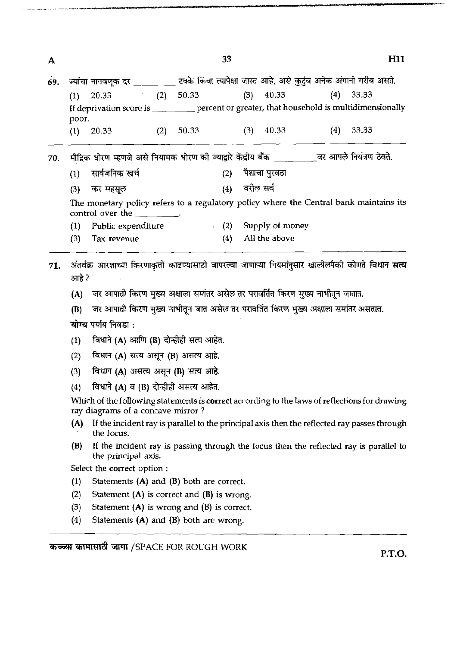33

| A   |                     |                                                                                                                                                                                                                                                                                                         |     |             | 33          |     |                 |     |             | H11 |
|-----|---------------------|---------------------------------------------------------------------------------------------------------------------------------------------------------------------------------------------------------------------------------------------------------------------------------------------------------|-----|-------------|-------------|-----|-----------------|-----|-------------|-----|
| 69. |                     | ज्यांचा नागवणूक दर _________ टक्के किंवा त्यापेक्षा जास्त आहे, असे कुटुंब अनेक अंगानी गरीब असते.                                                                                                                                                                                                        |     |             |             |     |                 |     |             |     |
|     | (1)<br>poor.        | 20.33<br>If deprivation score is ___________ percent or greater, that household is multidimensionally                                                                                                                                                                                                   |     | $(2)$ 50.33 |             | (3) | 40.33           |     | $(4)$ 33.33 |     |
|     | (1)                 | 20.33                                                                                                                                                                                                                                                                                                   | (2) | 50.33       |             | (3) | 40.33           | (4) | 33.33       |     |
| 70. |                     | मौद्रिक धोरण म्हणजे असे नियामक धोरण की ज्याद्वारे केंद्रीय बैंक ______________ वर आपले नियंत्रण ठेवते.                                                                                                                                                                                                  |     |             |             |     |                 |     |             |     |
|     | (1)                 | सार्वजनिक खर्च                                                                                                                                                                                                                                                                                          |     |             | (2)         |     | पैशाचा पुरवठा   |     |             |     |
|     | (3)                 | कर महसूल                                                                                                                                                                                                                                                                                                |     |             | (4)         |     | वरील सर्व       |     |             |     |
|     |                     | The monetary policy refers to a regulatory policy where the Central bank maintains its<br>control over the $\frac{1}{\sqrt{1-\frac{1}{2}}}\cdot$                                                                                                                                                        |     |             |             |     |                 |     |             |     |
|     |                     | Public expenditure                                                                                                                                                                                                                                                                                      |     |             | $\cdot$ (2) |     | Supply of money |     |             |     |
|     | (3)                 | Tax revenue                                                                                                                                                                                                                                                                                             |     |             | (4)         |     | All the above   |     |             |     |
| 71. | आहे ?<br>(A)<br>(B) | अंतर्वक्र आरशाच्या किरणाकृती काढण्यासाठी वापरल्या जाणाऱ्या नियमांनुसार खालीलपैको कोणते विधान <b>सत्य</b><br>जर आपाती किरण मुख्य अक्षाला समांतर असेल तर परावर्तित किरण मुख्य नाभीतून जातात.<br>जर आपाती किरण मुख्य नाभीतून जात असेल तर परावर्तित किरण मुख्य अक्षाला समांतर असतात.<br>योग्य पर्याय निवडा: |     |             |             |     |                 |     |             |     |
|     | (1)                 | विधाने (A) आणि (B) दोन्हीही सत्य आहेत.                                                                                                                                                                                                                                                                  |     |             |             |     |                 |     |             |     |
|     | (2)                 | विधान (A) सत्य असून (B) असत्य आहे.                                                                                                                                                                                                                                                                      |     |             |             |     |                 |     |             |     |
|     | (3)                 | विधान (A) असत्य असून (B) सत्य आहे.                                                                                                                                                                                                                                                                      |     |             |             |     |                 |     |             |     |
|     | (4)                 | विधाने (A) व (B) दोन्हीही असत्य आहेत.                                                                                                                                                                                                                                                                   |     |             |             |     |                 |     |             |     |
|     |                     | Which of the following statements is correct according to the laws of reflections for drawing<br>ray diagrams of a concave mirror?                                                                                                                                                                      |     |             |             |     |                 |     |             |     |
|     | (A)                 | If the incident ray is parallel to the principal axis then the reflected ray passes through<br>the focus.                                                                                                                                                                                               |     |             |             |     |                 |     |             |     |
|     | (B)                 | If the incident ray is passing through the focus then the reflected ray is parallel to<br>the principal axis.                                                                                                                                                                                           |     |             |             |     |                 |     |             |     |
|     |                     | Select the correct option :                                                                                                                                                                                                                                                                             |     |             |             |     |                 |     |             |     |
|     | (1)                 | Statements $(A)$ and $(B)$ both are correct.                                                                                                                                                                                                                                                            |     |             |             |     |                 |     |             |     |
|     | (2)                 | Statement $(A)$ is correct and $(B)$ is wrong.                                                                                                                                                                                                                                                          |     |             |             |     |                 |     |             |     |
|     | (3)                 | Statement $(A)$ is wrong and $(B)$ is correct.                                                                                                                                                                                                                                                          |     |             |             |     |                 |     |             |     |

(4) Statements (A) and (B) both are wrong.

**कच्च्या कामासाठी जागा /SPACE FOR ROUGH WORK** 

**P.T.O.** 

**H11**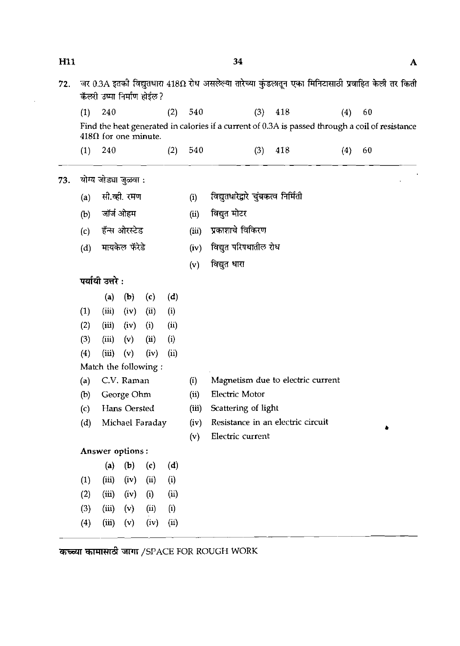| пп  |                   |                             |               |                            |      |       | 94                                                                                                         |     |     |    | A |
|-----|-------------------|-----------------------------|---------------|----------------------------|------|-------|------------------------------------------------------------------------------------------------------------|-----|-----|----|---|
| 72. |                   | कॅलरी उष्मा निर्माण होईल?   |               |                            |      |       | जर 0.3A इतकी विद्युतधारा 418 $\Omega$ रोध असलेल्या तारेच्या कुंडलातून एका मिनिटासाठी प्रवाहित केली तर किती |     |     |    |   |
|     | (1)               | 240                         |               |                            | (2)  | 540   | (3)                                                                                                        | 418 | (4) | 60 |   |
|     |                   | $418\Omega$ for one minute. |               |                            |      |       | Find the heat generated in calories if a current of 0.3A is passed through a coil of resistance            |     |     |    |   |
|     | (1)               | <b>240</b>                  |               |                            | (2)  | 540   | (3)                                                                                                        | 418 | (4) | 60 |   |
| 73. |                   | योग्य जोड्या जुळवा :        |               |                            |      |       |                                                                                                            |     |     |    |   |
|     | (a)               |                             | सी.व्ही. रमण  |                            |      | (i)   | विद्युतधारेद्वारे चुंबकत्व निर्मिती                                                                        |     |     |    |   |
|     | (b)               |                             | जॉर्ज ओहम     |                            |      | (ii)  | विद्युत मोटर                                                                                               |     |     |    |   |
|     | (c)               |                             | हॅन्स ओरस्टेड |                            |      | (iii) | प्रकाशाचे विकिरण                                                                                           |     |     |    |   |
|     | (d)               |                             | मायकेल फॅरेडे |                            |      | (iv)  | विद्युत परिपथातील रोध                                                                                      |     |     |    |   |
|     |                   |                             |               |                            |      | (v)   | विद्युत धारा                                                                                               |     |     |    |   |
|     |                   | पर्यायी उत्तरे :            |               |                            |      |       |                                                                                                            |     |     |    |   |
|     |                   | (a)                         | (b)           | (c)                        | (d)  |       |                                                                                                            |     |     |    |   |
|     | (1)               | (iii)                       | (iv)          | $\overline{u}$             | (i)  |       |                                                                                                            |     |     |    |   |
|     | (2)               | (iii)                       | (iv)          | (i)                        | (ii) |       |                                                                                                            |     |     |    |   |
|     | (3)               | (iii)                       | (v)           | $\left( \text{ii} \right)$ | (i)  |       |                                                                                                            |     |     |    |   |
|     | (4)               | (iii)                       | (v)           | (iv)                       | (ii) |       |                                                                                                            |     |     |    |   |
|     |                   | Match the following:        |               |                            |      |       |                                                                                                            |     |     |    |   |
|     | (a)               |                             | C.V. Raman    |                            |      | (i)   | Magnetism due to electric current                                                                          |     |     |    |   |
|     | (b)               |                             | George Ohm    |                            |      | (ii)  | Electric Motor                                                                                             |     |     |    |   |
|     | $\left( c\right)$ |                             | Hans Oersted  |                            |      | (iii) | Scattering of light                                                                                        |     |     |    |   |
|     | (d)               |                             |               | Michael Faraday            |      | (iv)  | Resistance in an electric circuit<br>Electric current                                                      |     |     |    |   |
|     |                   | Answer options:             |               |                            |      | (v)   |                                                                                                            |     |     |    |   |
|     |                   | (a)                         | (b)           | (c)                        | (d)  |       |                                                                                                            |     |     |    |   |
|     | (1)               | (iii)                       | (iv)          | (ii)                       | (i)  |       |                                                                                                            |     |     |    |   |
|     | (2)               | (iii)                       | (iv)          | (i)                        | (ii) |       |                                                                                                            |     |     |    |   |
|     | (3)               | (iii)                       | (v)           | (ii)                       | (i)  |       |                                                                                                            |     |     |    |   |
|     | (4)               | (iii)                       | (v)           | (iv)                       | (ii) |       |                                                                                                            |     |     |    |   |

कच्च्या कामासाठी जागा /SPACE FOR ROUGH WORK

 $\mathbf{H}$ 11

-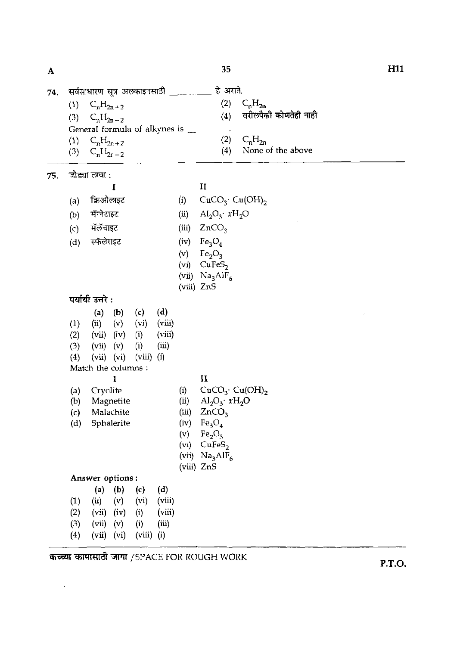**H11 74.** \*v ~---- **B** &.  $\mathbf{A}$   $\mathbf{35}$ (1)  $C_n H_{2n+2}$  (2)  $C_n H_{2n}$ <br>(3)  $C_n H_{2n-2}$  (4) वरील्पैकी कोणतेही नाही  $C_nH_{2n-2}$ General formula of alkynes is \_\_  $\overline{\phantom{a}}$ (1)  $C_n H_{2n+2}$  (2)  $C_n H_{2n}$ <br>
(3)  $C_n H_{2n-2}$  (4) None -- None of the above **75. जोड्या लावा :**<br>I  $\mathbf{I}$  **II** (a) क्रिओलाइट (i)  $CuCO_{3}$ <sup>,</sup>  $Cu(OH)_{2}$ (b) मॅग्नेटाइट (ii)  $Al_2O_3$ <sup>.</sup>  $xH_2O$ <br>
(c) मॅलॅचाइट (iii)  $ZnCO_3$  $ZnCO<sub>3</sub>$ (d) स्फॅलेराइट (iv)  $Fe_3O_4$ <br>(v)  $Fe_2O_3$ (v)  $Fe<sub>2</sub>O<sub>3</sub>$ <br>(vi) CuFeS  $CuFeS<sub>2</sub>$ (vii)  $Na<sub>3</sub>AIF<sub>6</sub>$ (viii) ZnS पर्यायी उत्तरे $:$ (a) (b) (c) (d)<br>(ii) (v) (vi) (vii (1) (i) (v) (vi) (viii) (2) (vii) (iv) (i) (viii)  $(3)$   $(vii)$   $(v)$   $(i)$   $(iii)$  $(4)$   $(vii)$   $(vi)$   $(viii)$   $(i)$ Match the columns :  $\mathbf{I}$  **II** (a) Cryolite (i)  $CuCO<sub>3</sub>$ .  $Cu(OH)<sub>2</sub>$ (b) Magnetite (ii)  $\text{Al}_2\text{O}_3$   $\cdot$   $\text{xH}_2\text{O}$ (c) Malachite (iii)  $ZnCO<sub>3</sub>$ (d) Sphalerite (iv)  $Fe<sub>3</sub>O<sub>4</sub>$ (v)  $Fe<sub>2</sub>O<sub>3</sub>$ (vi) CuFeS, (vii)  $Na<sub>3</sub>AIF<sub>6</sub>$ (viii) ZnS **Answer options** : (a) (b) (c) (d)<br>(ii) (v) (vi) (vii (1) (ii) (v) (vi) (viii)<br>
(2) (vii) (iv) (i) (viii) (12) (ivii) (i) (12)<br>(12) (i) (iii) (12) *(3)* (vii) (v) (i) (iii)  $(vii)$   $(vi)$ we /SPACE FOR ROUGH WORK **P.T.O.**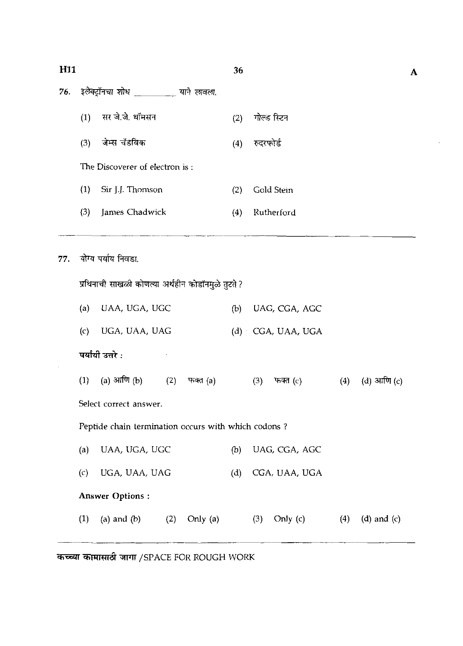# **H11**

- 76.
	- सर जे.जे. थॉमसन  $(1)$ गोल्ड स्टिन  $(2)$
	- जेम्स चॅडविक  $(3)$ रुदरफोर्ड  $(4)$

'The Discoverer of electron is :

- (1) Sir J.J. Thon-on (2) Gold Stem
- (3) James Chadwick (4) Rutherford
- योग्य पर्याय निवडा. 77.

प्रथिनाची साखळी कोणत्या अर्थहीन कोडॉनमुळे तुटते ?

| (a) UAA, UGA, UGC | (b) UAG, CGA, AGC   |
|-------------------|---------------------|
| (c) UGA, UAA, UAG | $(d)$ CGA, UAA, UGA |

**पर्यांयी उत्तरे** :

<mark>पर्यायी उत्तरे :</mark><br>(1) (a) आणि (b) (2) फक्त (a) (3) फक्त (c) (4) (d) आणि (c)

Select correct answer.

Peptide chain termination occurs with which codons ?

(a) UAA, UGA, UGC (b) UAG, CGA, AGC (c) UGA, UAA, UAG (d) CGA, UAA, UGA **Answer Options** : (1) (a) and (b) (2) Only (a) (3) Only (c) (4) (d) and (c)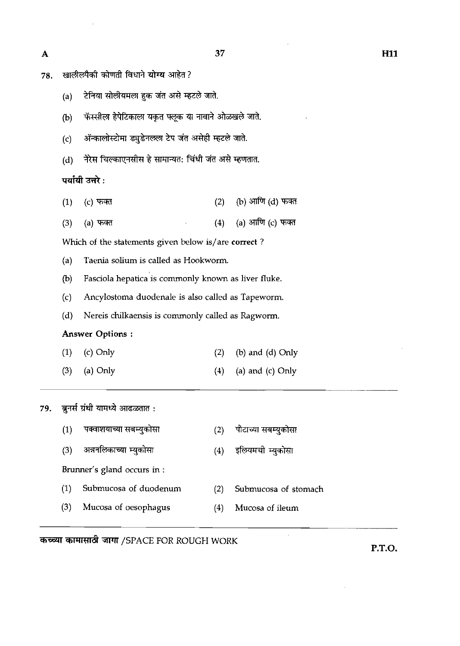$\bar{\mathcal{A}}$ 

 $\bar{\mathcal{A}}$ 

 $\hat{\mathcal{A}}$ 

| 78. |     | खालीलपैकी कोणती विधाने योग्य आहेत?                    |     |                      |  |
|-----|-----|-------------------------------------------------------|-----|----------------------|--|
|     | (a) | टेनिया सोलीयमला हुक जंत असे म्हटले जाते.              |     |                      |  |
|     | (b) | फॅस्सीला हेपेटिकाला यकृत फ्लूक या नावाने ओळखले जाते.  |     |                      |  |
|     | (c) | ॲन्कालोस्टोमा ड्युडेनलला टेप जंत असेही म्हटले जाते.   |     |                      |  |
|     | (d) | नेरेस चिल्काएनसीस हे सामान्यत: चिंधी जंत असे म्हणतात. |     |                      |  |
|     |     | पर्यायी उत्तरे :                                      |     |                      |  |
|     | (1) | (c) फक्त                                              | (2) | (b) आणि (d) फक्त     |  |
|     | (3) | (a) फक्त                                              | (4) | (a) आणि (c) फक्त     |  |
|     |     | Which of the statements given below is/are correct?   |     |                      |  |
|     | (a) | Taenia solium is called as Hookworm.                  |     |                      |  |
|     | (b) | Fasciola hepatica is commonly known as liver fluke.   |     |                      |  |
|     | (c) | Ancylostoma duodenale is also called as Tapeworm.     |     |                      |  |
|     | (d) | Nereis chilkaensis is commonly called as Ragworm.     |     |                      |  |
|     |     | <b>Answer Options:</b>                                |     |                      |  |
|     | (1) | (c) Only                                              | (2) | (b) and (d) Only     |  |
|     | (3) | (a) Only                                              | (4) | (a) and (c) Only     |  |
| 79. |     | ब्रुनर्स ग्रंथी यामध्ये आढळतात:                       |     |                      |  |
|     | (1) | पक्वाशयाच्या सबम्युकोसा                               | (2) | पोटाच्या सबम्युकोसा  |  |
|     | (3) | अन्ननलिकाच्या म्युकोसा                                | (4) | इलियमची म्युकोसा     |  |
|     |     | Brunner's gland occurs in :                           |     |                      |  |
|     | (1) | Submucosa of duodenum                                 | (2) | Submucosa of stomach |  |
|     | (3) | Mucosa of oesophagus                                  | (4) | Mucosa of ileum      |  |

कच्च्या कामासाठी जागा /SPACE FOR ROUGH WORK

**P.T.O.** 

 $\sim 10^{-10}$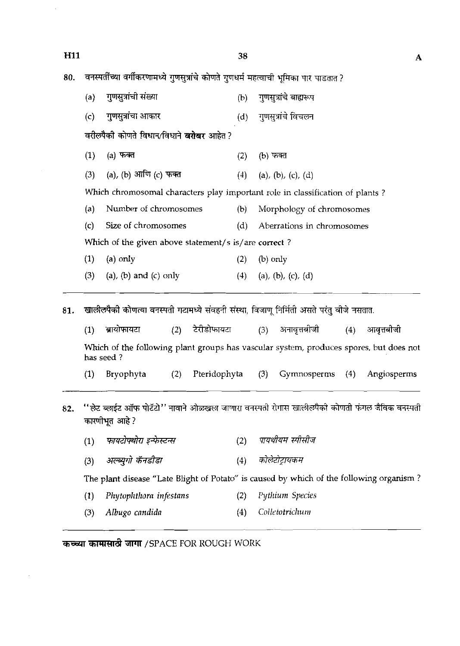| <b>H11</b> |     |                                                                                          | 38  |                                                                                        | $\mathbf{A}$ |
|------------|-----|------------------------------------------------------------------------------------------|-----|----------------------------------------------------------------------------------------|--------------|
| 80.        |     | वनस्पतींच्या वर्गीकरणामध्ये गुणसुत्रांचे कोणते गुणधर्म महत्वाची भूमिका पार पाडतात ?      |     |                                                                                        |              |
|            | (a) | गुणसुत्रांची संख्या                                                                      | (b) | गुणसूत्रांचे बाह्यरूप                                                                  |              |
|            | (c) | गुणसुत्रांचा आकार                                                                        | (d) | गुणसूत्रांचे विचलन                                                                     |              |
|            |     | वरीलपैकी कोणते विधान/विधाने <b>बरोबर</b> आहेत ?                                          |     |                                                                                        |              |
|            | (1) | (a) फक्त                                                                                 | (2) | (b) फक्त                                                                               |              |
|            | (3) | (a), (b) आणि (c) फक्त                                                                    | (4) | (a), (b), (c), (d)                                                                     |              |
|            |     |                                                                                          |     | Which chromosomal characters play important role in classification of plants ?         |              |
|            | (a) | Number of chromosomes                                                                    | (b) | Morphology of chromosomes                                                              |              |
|            | (c) | Size of chromosomes                                                                      | (d) | Aberrations in chromosomes                                                             |              |
|            |     | Which of the given above statement/s is/are correct?                                     |     |                                                                                        |              |
|            | (1) | $(a)$ only                                                                               | (2) | $(b)$ only                                                                             |              |
|            | (3) | $(a)$ , $(b)$ and $(c)$ only                                                             | (4) | (a), (b), (c), (d)                                                                     |              |
| 81.        |     | खालीलपैकी कोणत्या वनस्पती गटामध्ये संवहनी संस्था, बिजाणू निर्मिती असते परंतु बीजे नसतात. |     |                                                                                        |              |
|            | (1) | टेरीडोफायटा<br>ब्रायोफायटा<br>(2)                                                        |     | (3) अनावृत्तबीजी<br>आवृत्तबीजी<br>(4)                                                  |              |
|            |     | has seed?                                                                                |     | Which of the following plant groups has vascular system, produces spores, but does not |              |

- (1) Bryophyta (2) Pteridophyta **(3)** Gymnosperms (4) Angiosperms
- ''लेट ब्लाईट ऑफ पोटॅटो'' नावाने ओळखल्न जाणारा वनस्पती रोगास खालीलपैको कोणती फंगल जैविक वनस्पती 82. कारणीभूत आहे?
	- पायथीयम स्पीसीज फायटोपथोरा इन्फेस्टन्स  $(1)$  $(2)$
	- अल्ब्युगो कॅनडीडा कोलेटोट्रायकम  $(4)$  $(3)$

The plant disease "Late Blight of Potato" is caused by which of the following organism ?

- (1) *Phytoplltl~orn infrstnns* **(2)** *Pythium Species*
- (3) *Albugo candida* (4) *Colletotrichum*

कच्च्या कामासाठी जागा / SPACE FOR ROUGH WORK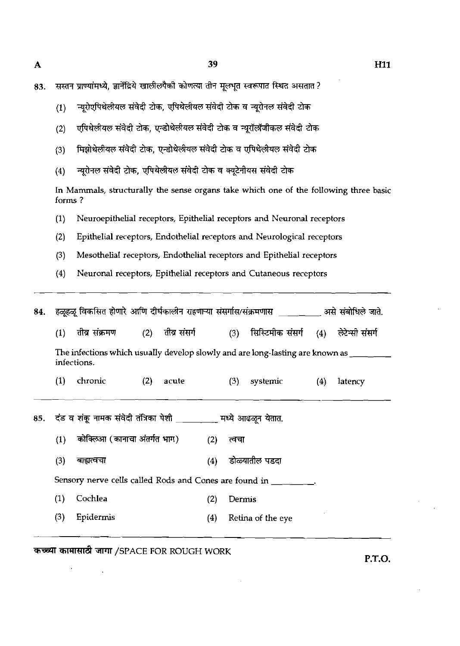| 83. | सस्तन प्राण्यांमध्ये, ज्ञानेंद्रिये खालीलपैकी कोणत्या तीन मूलभूत स्वरूपात स्थित असतात ? |  |  |  |  |
|-----|-----------------------------------------------------------------------------------------|--|--|--|--|

 $\mathbf{A}$ 

- न्युरोएपिथेलीयल संवेदी टोक, एपिथेलीयल संवेदी टोक व न्यूरोनल संवेदी टोक  $(1)$
- एपिथेलीयल संवेदी टोक, एन्डोथेलीयल संवेदी टोक व न्यूरॉलॉजीकल संवेदी टोक  $(2)$
- मिझोथेलीयल संवेदी टोक, एन्डोथेलीयल संवेदी टोक व एपिथेलीयल संवेदी टोक  $(3)$
- न्यूरोनल संवेदी टोक, एपिथेलीयल संवेदी टोक व क्यूटेनीयस संवेदी टोक  $(4)$

In Mammals, structurally the sense organs take which one of the following three basic forms ?

- **(1)** Neuroepithelial receptors, Epithelial receptors and Neuronal receptors
- **(2)** Epithelial receptors, Endothelial receptors and Neurological receptors
- **(3)** Mesothelial receptors, Endothelial receptors and Epithelial receptors
- **(4)** Neuronal receptors, Epithelial receptors and Cutaneous receptors

| (1) | तीव्र संक्रमण |             |       |                              |                  |          |                                                                                                                                                                                            | (4) लेटेन्सी संसर्ग                                                                                                                                                                                       |  |  |
|-----|---------------|-------------|-------|------------------------------|------------------|----------|--------------------------------------------------------------------------------------------------------------------------------------------------------------------------------------------|-----------------------------------------------------------------------------------------------------------------------------------------------------------------------------------------------------------|--|--|
|     |               |             |       |                              |                  |          |                                                                                                                                                                                            |                                                                                                                                                                                                           |  |  |
| (1) | chronic       | (2)         | acute |                              | (3)              | systemic | (4)                                                                                                                                                                                        | latency                                                                                                                                                                                                   |  |  |
|     |               |             |       |                              |                  |          |                                                                                                                                                                                            |                                                                                                                                                                                                           |  |  |
| (1) |               |             |       | (2)                          | त्वचा            |          |                                                                                                                                                                                            |                                                                                                                                                                                                           |  |  |
| (3) | बाह्यत्वचा    |             |       | (4)                          |                  |          |                                                                                                                                                                                            |                                                                                                                                                                                                           |  |  |
|     |               |             |       |                              |                  |          |                                                                                                                                                                                            |                                                                                                                                                                                                           |  |  |
| (1) | Cochlea       |             |       | (2)                          |                  |          |                                                                                                                                                                                            |                                                                                                                                                                                                           |  |  |
| (3) | Epidermis     |             |       | (4)                          |                  |          |                                                                                                                                                                                            |                                                                                                                                                                                                           |  |  |
|     |               | infections. |       | कोक्लिआ (कानाचा अंतर्गत भाग) | (2) तीव्र संसर्ग |          | (3)<br>दंड व शंकू नामक संवेदी तंत्रिका पेशी _____ ___ मध्ये आढळून येतात.<br>डोळ्यातील पडदा<br>Sensory nerve cells called Rods and Cones are found in Theory<br>Dermis<br>Retina of the eye | हळूहळू विकसित होणारे आणि दीर्घकालीन राहणाऱ्या संसर्गास/संक्रमणास ________ असे संबोधिले जाते.<br>सिस्टिमीक संसर्ग<br>The infections which usually develop slowly and are long-lasting are known as _______ |  |  |

कच्च्या कामासाठी जागा /SPACE FOR ROUGH WORK

**P.T.O.**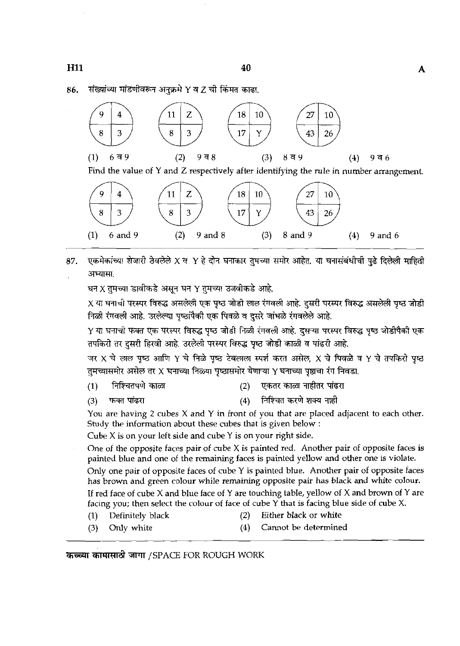संख्यांच्या मांडणीवरून अनुक्रमे Y व Z ची किंमत काढा. 86.





एकमेकांच्या शेजारी ठेवलेले X व Y हे दोन घनाकार तुमच्या समोर आहेत. या घनासंबंधीची पुढे दिलेली माहिती 37. अभ्यासा.

घन $\chi$  तुमच्या डावीकडे असून घन Y तुमच्या उजवीकडे आहे.

X या घनाची परस्पर विरुद्ध असलेली एक पृष्ठ जोडी लाल रंगवली आहे. दूसरी परस्पर विरुद्ध असलेली पृष्ठ जोडी निळी रंगवली आहे. उरलेल्या पुष्ठांपैकी एक पिवळे व दूसरे जांभळे रंगवलेले आहे.

Y या घनाची फक्त एक परस्पर विरुद्ध पृष्ठ जोडी निळी रंगवली आहे. दुसऱ्या परस्पर विरुद्ध पृष्ठ जोडीपैकी एक तपकिरी तर दुसरी हिरवी आहे. उरलेली परस्पर विरुद्ध पृष्ठ जोडी काळी व पांढरी आहे.

जर X चे लाल पृष्ठ आणि Y चे निळे पृष्ठ टेबलाला स्पर्श करत असेल, X चे पिवळे व Y चे तपकिरी पृष्ठ तुमच्यासमोर असेल तर X घनाच्या निळ्या पृष्ठासमोर येणाऱ्या Y घनाच्या पृष्ठाचा रंग निवडा.

- निश्चितपणे काळा  $(1)$ 
	- एकतर काळा नाहीतर पांढरा  $(2)$

 $(3)$ फक्त पांढरा

निश्चित करणे शक्य नाही  $(4)$ 

You are having 2 cubes X and Y in front of you that are placed adjacent to each other. Study the information about these cubes that is given below :

Cube X is on your left side and cube Y is on your right side.

One of the opposite faces pair of cube  $X$  is painted red. Another pair of opposite faces is painted blue and one of the remaining faces is painted yellow and other one is violate.

Only one pair of opposite faces of cube Y is painted blue. Another pair of opposite faces has brown and green colour while remaining opposite pair has black and white colour.

If red face of cube  $X$  and blue face of  $Y$  are touching table, yellow of  $X$  and brown of  $Y$  are facing you; then select the colour of face of cube **Y** that is facing blue side of cube X.

- (1) Definitely black (2) Either black or white
- *(3)* Only white (4) Cannot be determined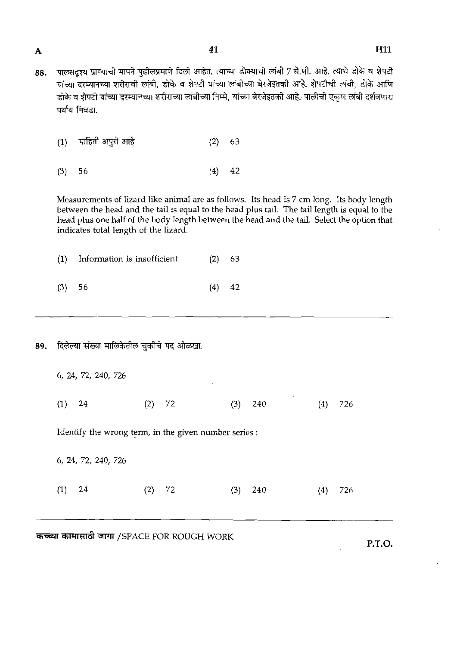- $\overline{\mathbf{A}}$
- पालसदृश्य प्राण्याची मापने पुढीलप्रमाणे दिली आहेत. त्याच्या डोक्याची लांबी 7 से.मी. आहे. त्याचे डोके व शेपटी 88. ्<br>यांच्या दरम्यानच्या शरीराची लांबी, डोके व शेपटी यांच्या लांबीच्या बेरजेइतकी आहे. शेपटीची लांबी, डोके आणि .<br>डोके व शेपटी यांच्या दरम्यानच्या शरीराच्या लांबीच्या निम्मे, यांच्या बेरजेइतकी आहे. पालीची एकण लांबी दर्शवणारा पर्याय निवडा.
	- माहिती अपुरी आहे  $(2)$  $(1)$ 63
	- $(3)$ 56  $(4)$ 42

Measurements of Iizard like animaI are as follows. Its head is 7 cm long. Its body length between the head and the tail is equal to the head plus tail. The tail Iength is equal to the head plus one half of the body Iength between the head and the tail. Select the option that indicates total length of the lizard.

|          | (1) Information is insufficient | $(2)$ 63 |  |
|----------|---------------------------------|----------|--|
| $(3)$ 56 |                                 | $(4)$ 42 |  |

89. दिलेल्या संख्या मालिकेतील चुकीचे पद ओळखा.

|                     | कच्च्या कामासाठी जागा /SPACE FOR ROUGH WORK           |            |            |
|---------------------|-------------------------------------------------------|------------|------------|
| (1)<br>24           | 72<br>(2)                                             | (3)<br>240 | (4)<br>726 |
| 6, 24, 72, 240, 726 |                                                       |            |            |
|                     | Identify the wrong term, in the given number series : |            |            |
| (1)<br>24           | (2)<br>72                                             | (3)<br>240 | (4)<br>726 |
| 6, 24, 72, 240, 726 |                                                       |            |            |

 $\mathcal{L}^{\pm}$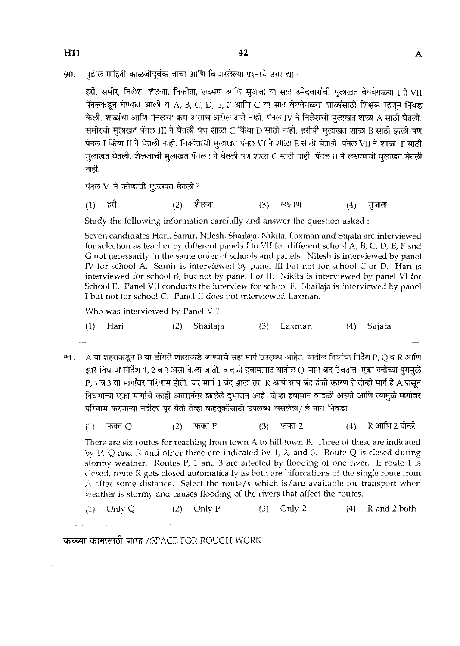**H11** 

पढील माहिती काळजीपूर्वक वाचा आणि विचारलेल्या प्रश्नाचे उत्तर द्या : 90.

हरी, समीर, निलेश, शैलजा, निकीता, लक्ष्मण आणि सुजाता या सात उमेदवारांची मुलाखत वेगवेगळ्या I ते VII पॅनलकडून घेण्यात आली व A, B, C, D, E, F आणि G या सात वेगवेगळ्या शाळांसाठी शिक्षक म्हणून निवड केली. शाळांचा आणि पॅनलचा क्रम असाच असेल असे नाही. पॅनल IV ने निलेशची मुलाखत शाळा A साठी घेतली. समीरची मुलाखत पॅनल III ने घेतली पण शाळा C किंवा D साठी नाही. हरीची मुलाखत शाळा B साठी झाली पण पॅनल I किंवा II ने घेतली नाही. निकीताची मुलाखत पॅनल Vi ने शाळा E साठी घेतली. पॅनल VII ने शाळा F साठी मुलाखत घेतली. शैलजाची मुलाखत पॅनल। ने घेतली पण शाळा C साठी नाही. पॅनल II ने लक्ष्मणची मुलाखत घेतली नाही.

पॅनल V ने कोणाची मुलाखत घेतली?

 $(1)$ हरी  $(2)$ शैलजा **लक्ष्मण**  $(3)$ सजाता  $(4)$ 

Study the following information carefully and answer the question asked :

Seven candidates Hari, Samir, Nilesh, Shailaja, Nikita, Laxman and Sujata are interviewed for selection as teacher by different panels I to VII for different school A, B, C, D, E, F and G not necessarily in the same order of schools and panels. Nilesh is interviewed by panel IV for school A. Samir is interviewed by panel III but not for school C or D. Hari is interviewed for school B, but not by panel I or II. Nikita is interviewed by panel VI for School E. Panel VII conducts the interview for school F. Shailaja is interviewed by panel I hut not for school C. Panel I1 does not interviewed Laxman.

Who was interviewed by Panel V?

|  | $(1)$ Hari |  | (2) Shailaja |  | $(3)$ Laxman |  | (4) Sujata |
|--|------------|--|--------------|--|--------------|--|------------|
|--|------------|--|--------------|--|--------------|--|------------|

- A या शहराकडून B या डोंगरी शहराकडे जाण्याचे सहा मार्ग उपलब्ध आहेत. यातील तिघांचा निर्देश P, Q व R आणि 91. इतर तिघांचा निर्देश 1, 2 व 3 असा केला जातो. वादळी हवामानात यातील Q मार्ग बंद ठेवतात. एका नदीच्या पुरामुळे P, 1 व 3 या मार्गांवर परिणाम होतो. जर मार्ग 1 बंद झाला तर R आपोआप बंद होतो कारण हे दोन्ही मार्ग हे A पासून निघणाऱ्या एका मार्गाचे काही अंतरानंतर झालेले दुभाजन आहे. जेव्हा हवामान वादळी असते आणि त्यामुळे मार्गावर परिणाम करणाऱ्या नदीला पूर येतो तेव्हा वाहतूकीसाठी उपलब्ध असलेला/ले मार्ग निवडा.
	- फक्त $P$ R आणि 2 दोन्ही  $(1)$ फक्त Q  $(2)$  $(3)$ फक्त 2  $(4)$

There are six routes for reaching from town A to hill town B. Three of these are indicated by P, Q and R and other three are indicated by 1, 2, and 3. Route *Q* is cIosed during storiny weather. Routes P, 1 and 3 are affected by flooding of one river. If route 1 is Uosed, route R gets closed automatically as both are bifurcations of the single route from  $\Lambda$  after some distance. Select the route/s which is/are available for transport when weather is stormy and causes flooding of the rivers that affect the routes.

(I Only Q (2) Only 1' (3) Oniv 2 (4) R and **2** both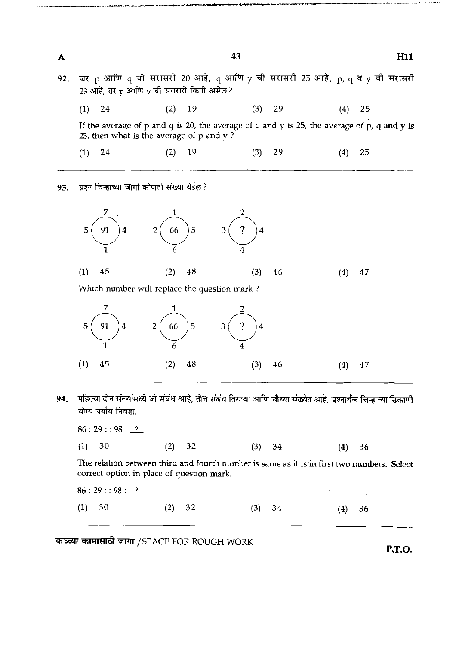A H11 जर p आणि q ची सरासरी 20 आहे, q आणि y ची सरासरी 25 आहे, p, q व y ची सरासरी 92. 23 आहे, तर p आणि y ची सरासरी किती असेल?  $(1)$  24  $(2)$ 19  $(3)$ 29  $(4)$ 25 If the average of p and q is **20,** the average of q and y is **25,** the average of p, **q** and y is **23,** then what is the average ol p and **y** ? 19  $(3)$ 29  $(1)$ 24  $(2)$  $(4)$ 25

43

प्रश्न चिन्हाच्या जागी कोणती संख्या येईल? 93.



Which number will replace the question mark ?



94. पहिल्या दोन संख्यांमध्ये जो संबंध आहे, तोच संबंध तिसऱ्या आणि चौथ्या संख्येत आहे. प्रश्नार्थक चिन्हाच्या ठिकाणी योग्य पर्याय निवडा.

86:29::98:<u>2</u> (1) **30 (2) 32 (3) 34 (4) 36**  The relation between third and fourth number is same as it is in first two numbers. Select correct option in place of question mark.  $86:29::98:\_2$ **(1) 30 (2) 32 (3) 34 (4) 36** 

**W WW77'd WT** /SPACE FOR ROUGH WORK

P.T.O.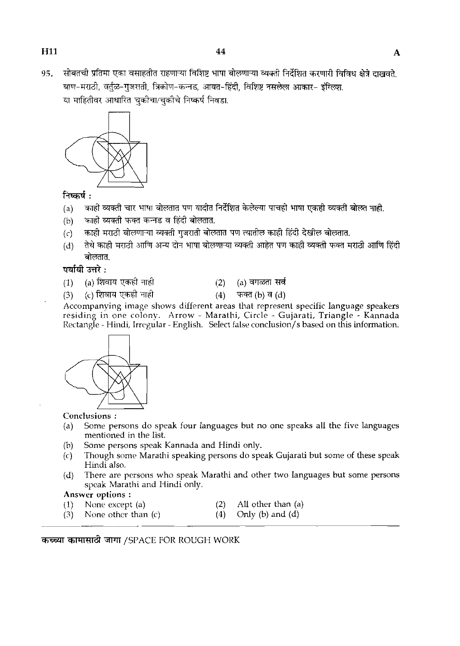$95.$  सोबतची प्रतिमा एका वसाहतीत राहणाऱ्या विशिष्ट भाषा बोलणाऱ्या व्यक्ती निर्देशित करणारी विविध क्षेत्रे दाखवते. -m-TL?t, *\*-g,ma,* **M-m,** m-m, <sup>m</sup>\* *SmT-* m. सोबतची प्रतिमा एका वसाहतीत राहणाऱ्या विशिष्ट भाषा बोलणाऱ्<br>बाण-मराठी, वर्तुळ-गुजराती, त्रिकोण-कन्नड, आयत-हिंदी, वि<br>या माहितीवर आधारित चुकीचा/चुकीचे निष्कर्ष निवडा.<br>———



# निष्कर्ष $\cdot$

- (a)  $\sim$  काही व्यक्ती चार भाषा बोलतात पण यादीत निर्देशित केलेल्या पाचही भाषा एकही व्यक्ती बोलत नाही.
- (b) काही व्यक्ती फक्त कन्नड व हिंदी बोलतात.
- (c) काही मराठी बोलणाऱ्या व्यक्ती गुजराती बोलतात पण त्यातील काही हिंदी देखील बोलतात.
- (d) ~~=x\$~~~rf~m~o~rnr~~~~~~~m~~~ **m.**

# पर्यायी उत्तरे $\,\cdot\,$

- 
- (1) (a) शिवाय एकही नाही (2) (a) वगळता सर्व<br>(3) (c) शिवाय एकही नाही (4) फक्त (b) व (d)
	-

**पयाया उत्तर :**<br>(1) (a) शिवाय एकही नाही (4) फक्त (b) व (d)<br>Accompanying image shows different areas that represent specific language speakers residing in one colony. Arrow - Marathi, Circle - Gujarati, Triangle - Kannada Rectangle - Hindi, Irregular - English. Select false conclusion/s based on this information.



Conclusions :

- (a) Some persons do speak four languages but no one speaks all the five languages mentioned in the list.
- (b) Some persons speak Kannada and Hindi only.<br>(c) Though some Marathi speaking persons do spe
- Though some Marathi speaking persons do speak Gujarati but some of these speak Hindi also.
- (d) There are persons who speak Marathi and other two languages but some persons speak Marathi and Hindi only.

- Answer options :<br>(1) None except (a) (1) None except (a)  $(2)$  All other than (a)  $(3)$  None other than (c)  $(4)$  Only (b) and (d)
- $(3)$  None other than  $(c)$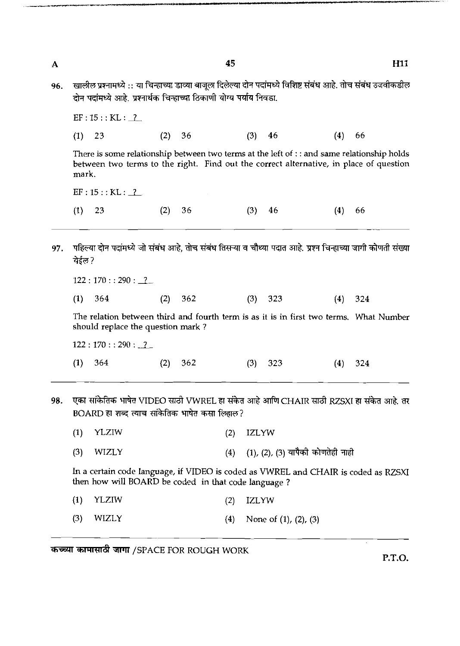| A   |                          |                                                                      | 45         | H11                                                                                                                                                                                         |
|-----|--------------------------|----------------------------------------------------------------------|------------|---------------------------------------------------------------------------------------------------------------------------------------------------------------------------------------------|
| 96. |                          | दोन पदांमध्ये आहे. प्रश्नार्थक चिन्हाच्या ठिकाणी योग्य पर्याय निवडा. |            | खालील प्रश्नामध्ये :: या चिन्हाच्या डाव्या बाजूला दिलेल्या दोन पदांमध्ये विशिष्ट संबंध आहे. तोच संबंध उजवीकडील                                                                              |
|     | EF: 15: : KL: 2          |                                                                      |            |                                                                                                                                                                                             |
|     | (1)<br>23                | (2)<br>36                                                            | (3)<br>46  | (4)<br>66                                                                                                                                                                                   |
|     | mark.                    |                                                                      |            | There is some relationship between two terms at the left of $\cdot$ : and same relationship holds<br>between two terms to the right. Find out the correct alternative, in place of question |
|     | EF: 15 : KLL : 2         |                                                                      |            |                                                                                                                                                                                             |
|     | (1)<br>23                | (2)<br>36                                                            | (3)<br>46  | (4)<br>66                                                                                                                                                                                   |
| 97. | येईल ?<br>122:170:290:22 |                                                                      |            | पहिल्या दोन पदांमध्ये जो संबंध आहे, तोच संबंध तिसऱ्या व चौथ्या पदात आहे. प्रश्न चिन्हाच्या जागी कोणती संख्या                                                                                |
|     | (1)<br>364               | (2)<br>362                                                           | (3)<br>323 | (4)<br>324                                                                                                                                                                                  |
|     |                          | should replace the question mark?                                    |            | The relation between third and fourth term is as it is in first two terms. What Number                                                                                                      |
|     | 122:170:290:2            |                                                                      |            |                                                                                                                                                                                             |
|     | (1)<br>364               | (2)<br>362                                                           | 323<br>(3) | 324<br>(4)                                                                                                                                                                                  |
| 98. |                          |                                                                      |            | एका सांकेतिक भाषेत VIDEO साठी VWREL हा संकेत आहे आणि CHAIR साठी RZSXI हा संकेत आहे. तर                                                                                                      |
|     |                          |                                                                      |            |                                                                                                                                                                                             |

- BOARD हा शब्द त्याच सांकेतिक भाषेत कसा लिहाल? **(3)** WIZLY **(4) (11, (21, (3)** \* \* <sup>M</sup>
	- **(1)** YLZIW **(2)** IZLYW
	-

In a certain code language, if VIDEO is coded as VWREL and CHAIR is coded as RZSXI then how will BOARD be coded in that code language ?

- **(1)** YLZIW **(2)** IZLYW
- **(3)** WIZLY **(4)** None of **(11,** (Z), **(3)**

*कच्च्या कामासाठी जागा /SPACE FOR ROUGH WORK* 

**P.T.O.**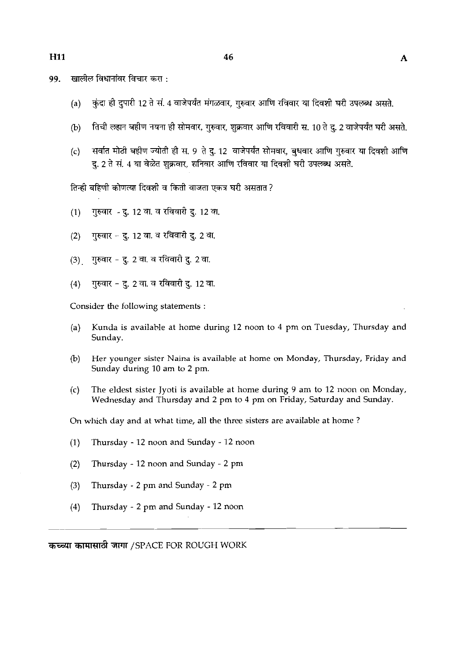- खालील विधानांवर विचार करा : 99.
	- (a) कुंदा ही दुपारी 12 ते सं. 4 वाजेपर्यंत मंगळवार, गुरुवार आणि रविवार या दिवशी घरी उपलब्ध असते.
	- तिची लहान बहीण नयना ही सोमवार, गुरुवार, शुक्रवार आणि रविवारी स, 10 ते द, 2 वाजेपर्यंत घरी असते.  $(b)$
	- (c) सर्वात मोठी बहीण ज्योती ही स. 9 ते दू. 12 वाजेपर्यंत सोमवार, बुधवार आणि गुरुवार या दिवशी आणि द, 2 ते सं. 4 या वेळेत शुक्रवार, शनिवार आणि रविवार या दिवशी घरी उपलब्ध असते.

तिन्ही बहिणी कोणत्या दिवशी व किती वाजता एकत्र घरी असतात ?

- (1) गुरुवार दु. 12 वा. व रविवारी <u>द</u>. 12 वा.
- गुरुवार दू. 12 वा. व रविवारी दू. 2 वा.  $(2)$
- $(3)$ गुरुवार - दु. 2 वा. व रविवारी दु. 2 वा.
- गुरुवार दु. 2 वा. व रविवारी दु. 12 वा.  $(4)$

Consider the following statements :

- (a) Kunda is available at home during 12 noon to 4 pm on Tuesday, Thursday and Sunday.
- @) Her younger sister Naina is available at home on Monday, Thursday, Friday and Sunday during 10 am to 2 pm.
- (c) The eldest sister Jyoti is available at home during 9 am to 12 noon on Monday, Wednesday and Thursday and 2 pm to 4 pm on Friday, Saturday and Sunday.

On which day and at what time, all the three sisters are available at home ?

-- -

- (1) Thursday 12 noon and Sunday 12 noon
- (2) Thursday 12 noon and Sunday 2 pm
- **(3)** Thursday 2 pm and Sunday 2 pm
- (4) Thursday 2 pm and Sunday 12 noon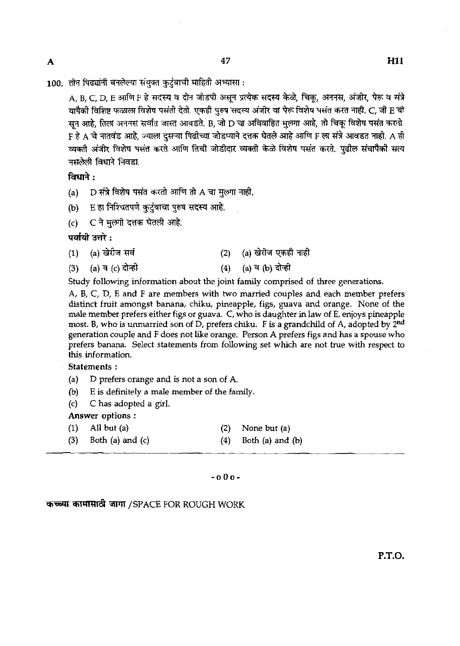$100$ . तीन पिढ्यांनी बनलेल्या संयुक्त कुटुंबाची माहिती अभ्यासा :

A, B, C, D, E आणि F हे सदस्य व दोन जोडपी असून प्रत्येक सदस्य केळे. चिक, अननस, अंजीर, पेरू व संत्रे यापैकी विशिष्ट फळाला विशेष पसंती देतो. एकही पुरुष सदस्य अंजीर वा पेरू विशेष पसंत करत नाही. C, जी E ची  $\overline{a}$ सन आहे, तिला अननस सर्वात जास्त आवडते. B, जो D चा अविवाहित मुलगा आहे, तो चिकू विशेष पसंत करतो.  $_{\rm F}$  हे A चे नातवंड आहे. ज्याला दसऱ्या पिढीच्या जोडप्याने दत्तक घेतले आहे आणि F ला संत्रे आवडत नाही. A ही यापैकी विशिष्ट फळाला विशेष पसंती देतो. एकही पुरुष सदस्य अजीर वा पेरू विशेष पसंत करत नाही. C, जी E ची<br>सून आहे, तिला अननस सर्वात जास्त आवडते. B, जो D चा अविवाहित मुलगा आहे, तो चिकू विशेष पसंत करतो.<br>F हे A चे नातवंड आहे, ज्य नसलेली विधाने निवडा.<br>**विधाने :** 

 $\overline{\mathbf{A}}$ 

- (a)  $~$  D संत्रे विशेष पसंत करतो आणि तो  $\tt A$  चा मुलगा नाही.
- (b) E हा निश्चितपणे कुटुंबाचा पुरुष सदस्य आहे.
- (c) = C ने मुल्गो दत्तक घेतली आहे.<br>**पर्यायी उत्तरे :**<br>(1) = (a) खेरीज सर्व

- (a) खेरीज सर्व<br>(a) व (c) दोन्ही<br>(a) व (c) दोन्ही (4) (a) व (b) दोन्ही
- **(3)** (a) ?I (4 **rn** (4) (a) **3** (b) &@

Study following information about the joint family comprised of three generations.

A, B, C, D, E and F are members with two married couples and each member prefers distinct fruit amongst banana, chiku, pineapple, figs, guava and orange. None of the male member prefers either figs or guava. C, who is daughter inlaw of E, enjoys pineapple most. B, who is unmarried son of D, prefers chiku. F is a grandchild of A, adopted by 2<sup>nd</sup> generation couple and F does not like orange. Person **A** prefers figs and has a spouse who prefers banana. Select statements from following set which are not true with respect to this information.

## Statements :

- (a) D prefers orange and is not a son of **A.**
- (b) E is definitely a male member of the family.
- (c) C has adopted a girl.

Answer options :

- (1) **All** but (a) (2) None but (a)
- (3) Both (a) and (c) (4) Both (a) and (b)

## -000-

& **5WlT** /SPACE FOR ROUGH WORK